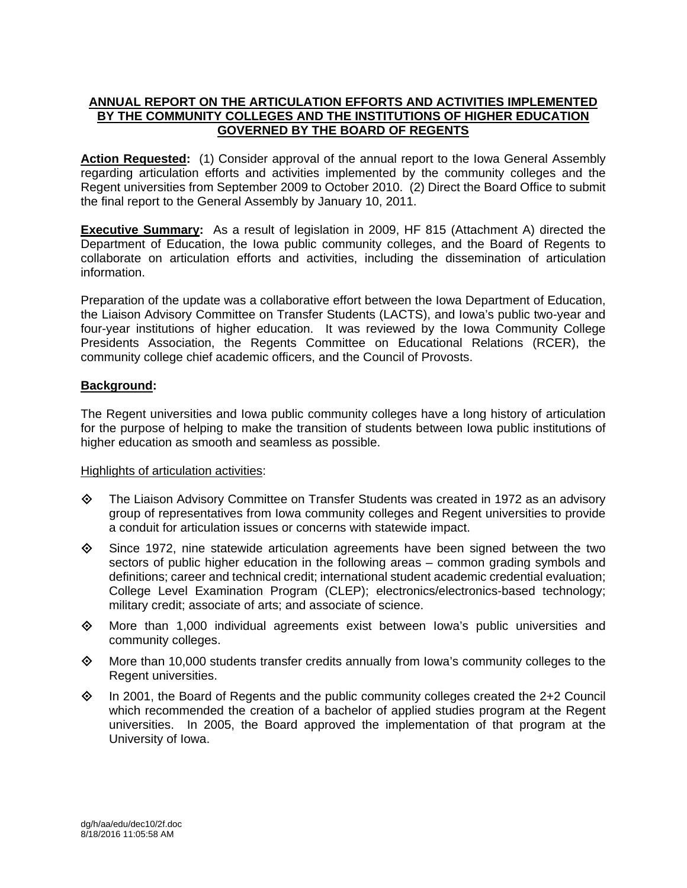## **ANNUAL REPORT ON THE ARTICULATION EFFORTS AND ACTIVITIES IMPLEMENTED BY THE COMMUNITY COLLEGES AND THE INSTITUTIONS OF HIGHER EDUCATION GOVERNED BY THE BOARD OF REGENTS**

Action Requested: (1) Consider approval of the annual report to the Iowa General Assembly regarding articulation efforts and activities implemented by the community colleges and the Regent universities from September 2009 to October 2010. (2) Direct the Board Office to submit the final report to the General Assembly by January 10, 2011.

**Executive Summary:** As a result of legislation in 2009, HF 815 (Attachment A) directed the Department of Education, the Iowa public community colleges, and the Board of Regents to collaborate on articulation efforts and activities, including the dissemination of articulation information.

Preparation of the update was a collaborative effort between the Iowa Department of Education, the Liaison Advisory Committee on Transfer Students (LACTS), and Iowa's public two-year and four-year institutions of higher education. It was reviewed by the Iowa Community College Presidents Association, the Regents Committee on Educational Relations (RCER), the community college chief academic officers, and the Council of Provosts.

## **Background:**

The Regent universities and Iowa public community colleges have a long history of articulation for the purpose of helping to make the transition of students between Iowa public institutions of higher education as smooth and seamless as possible.

#### Highlights of articulation activities:

- The Liaison Advisory Committee on Transfer Students was created in 1972 as an advisory group of representatives from Iowa community colleges and Regent universities to provide a conduit for articulation issues or concerns with statewide impact.
- $\diamond$  Since 1972, nine statewide articulation agreements have been signed between the two sectors of public higher education in the following areas – common grading symbols and definitions; career and technical credit; international student academic credential evaluation; College Level Examination Program (CLEP); electronics/electronics-based technology; military credit; associate of arts; and associate of science.
- $\diamond$  More than 1,000 individual agreements exist between Iowa's public universities and community colleges.
- $\Diamond$  More than 10,000 students transfer credits annually from lowa's community colleges to the Regent universities.
- $\Diamond$  In 2001, the Board of Regents and the public community colleges created the 2+2 Council which recommended the creation of a bachelor of applied studies program at the Regent universities. In 2005, the Board approved the implementation of that program at the University of Iowa.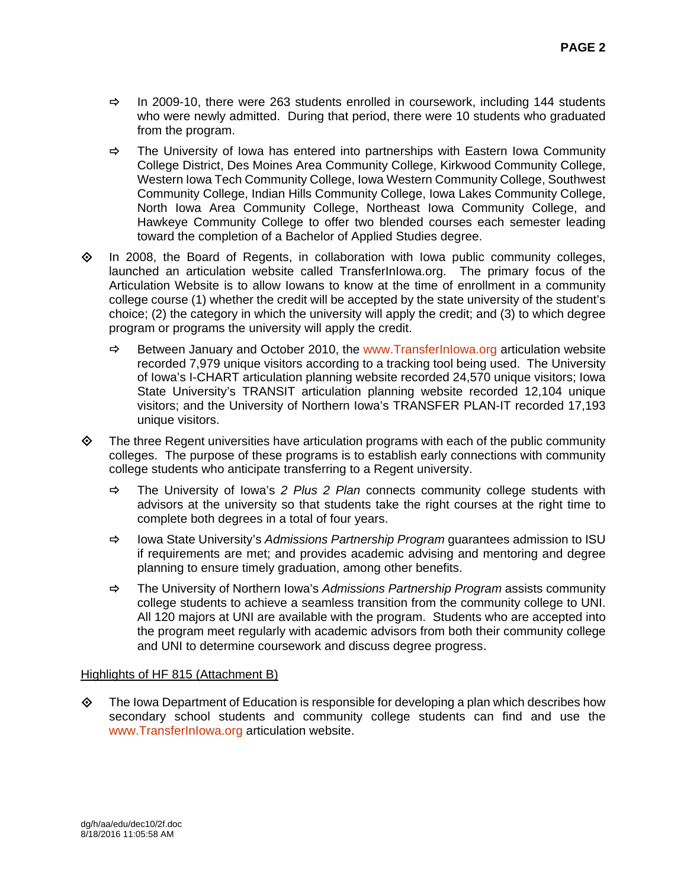- $\Rightarrow$  In 2009-10, there were 263 students enrolled in coursework, including 144 students who were newly admitted. During that period, there were 10 students who graduated from the program.
- $\Rightarrow$  The University of Iowa has entered into partnerships with Eastern Iowa Community College District, Des Moines Area Community College, Kirkwood Community College, Western Iowa Tech Community College, Iowa Western Community College, Southwest Community College, Indian Hills Community College, Iowa Lakes Community College, North Iowa Area Community College, Northeast Iowa Community College, and Hawkeye Community College to offer two blended courses each semester leading toward the completion of a Bachelor of Applied Studies degree.
- $\Diamond$  In 2008, the Board of Regents, in collaboration with Iowa public community colleges, launched an articulation website called TransferInIowa.org. The primary focus of the Articulation Website is to allow Iowans to know at the time of enrollment in a community college course (1) whether the credit will be accepted by the state university of the student's choice; (2) the category in which the university will apply the credit; and (3) to which degree program or programs the university will apply the credit.
	- $\Rightarrow$  Between January and October 2010, the www.TransferInlowa.org articulation website recorded 7,979 unique visitors according to a tracking tool being used. The University of Iowa's I-CHART articulation planning website recorded 24,570 unique visitors; Iowa State University's TRANSIT articulation planning website recorded 12,104 unique visitors; and the University of Northern Iowa's TRANSFER PLAN-IT recorded 17,193 unique visitors.
- $\diamond$  The three Regent universities have articulation programs with each of the public community colleges. The purpose of these programs is to establish early connections with community college students who anticipate transferring to a Regent university.
	- The University of Iowa's *2 Plus 2 Plan* connects community college students with advisors at the university so that students take the right courses at the right time to complete both degrees in a total of four years.
	- Iowa State University's *Admissions Partnership Program* guarantees admission to ISU if requirements are met; and provides academic advising and mentoring and degree planning to ensure timely graduation, among other benefits.
	- The University of Northern Iowa's *Admissions Partnership Program* assists community college students to achieve a seamless transition from the community college to UNI. All 120 majors at UNI are available with the program. Students who are accepted into the program meet regularly with academic advisors from both their community college and UNI to determine coursework and discuss degree progress.

## Highlights of HF 815 (Attachment B)

 $\diamond$  The Iowa Department of Education is responsible for developing a plan which describes how secondary school students and community college students can find and use the www.TransferInIowa.org articulation website.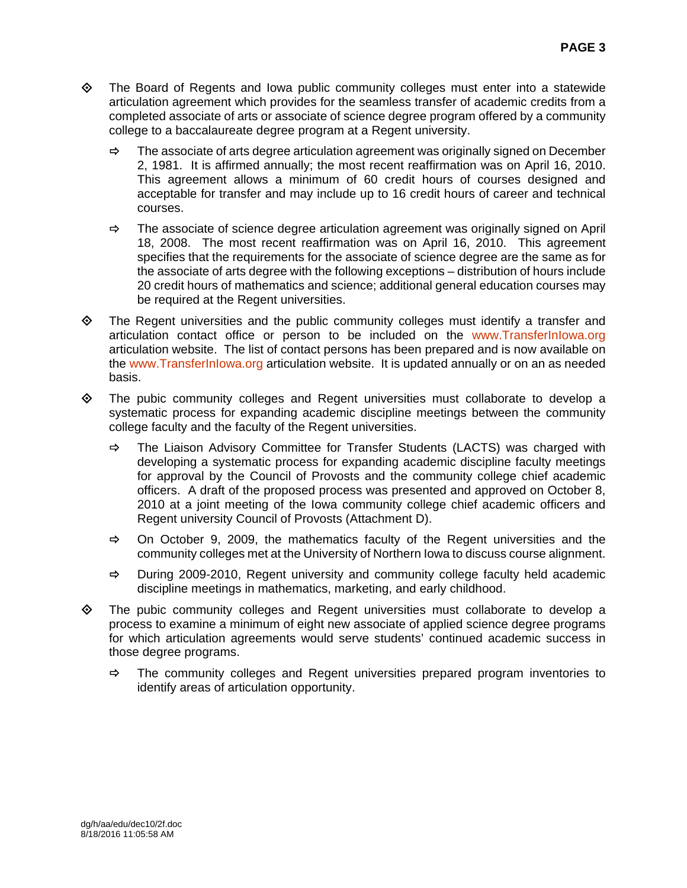- $\diamond$  The Board of Regents and Iowa public community colleges must enter into a statewide articulation agreement which provides for the seamless transfer of academic credits from a completed associate of arts or associate of science degree program offered by a community college to a baccalaureate degree program at a Regent university.
	- $\Rightarrow$  The associate of arts degree articulation agreement was originally signed on December 2, 1981. It is affirmed annually; the most recent reaffirmation was on April 16, 2010. This agreement allows a minimum of 60 credit hours of courses designed and acceptable for transfer and may include up to 16 credit hours of career and technical courses.
	- $\Rightarrow$  The associate of science degree articulation agreement was originally signed on April 18, 2008. The most recent reaffirmation was on April 16, 2010. This agreement specifies that the requirements for the associate of science degree are the same as for the associate of arts degree with the following exceptions – distribution of hours include 20 credit hours of mathematics and science; additional general education courses may be required at the Regent universities.
- The Regent universities and the public community colleges must identify a transfer and articulation contact office or person to be included on the www.TransferInIowa.org articulation website. The list of contact persons has been prepared and is now available on the www.TransferInIowa.org articulation website. It is updated annually or on an as needed basis.
- $\diamond$  The pubic community colleges and Regent universities must collaborate to develop a systematic process for expanding academic discipline meetings between the community college faculty and the faculty of the Regent universities.
	- $\Rightarrow$  The Liaison Advisory Committee for Transfer Students (LACTS) was charged with developing a systematic process for expanding academic discipline faculty meetings for approval by the Council of Provosts and the community college chief academic officers. A draft of the proposed process was presented and approved on October 8, 2010 at a joint meeting of the Iowa community college chief academic officers and Regent university Council of Provosts (Attachment D).
	- $\Rightarrow$  On October 9, 2009, the mathematics faculty of the Regent universities and the community colleges met at the University of Northern Iowa to discuss course alignment.
	- $\Rightarrow$  During 2009-2010, Regent university and community college faculty held academic discipline meetings in mathematics, marketing, and early childhood.
- $\Leftrightarrow$  The pubic community colleges and Regent universities must collaborate to develop a process to examine a minimum of eight new associate of applied science degree programs for which articulation agreements would serve students' continued academic success in those degree programs.
	- $\Rightarrow$  The community colleges and Regent universities prepared program inventories to identify areas of articulation opportunity.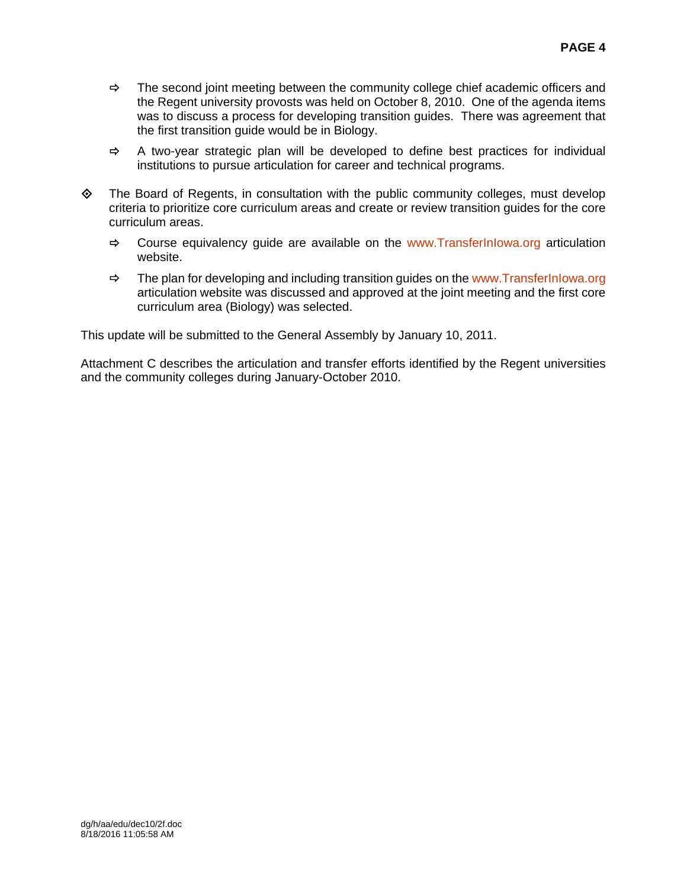- $\Rightarrow$  The second joint meeting between the community college chief academic officers and the Regent university provosts was held on October 8, 2010. One of the agenda items was to discuss a process for developing transition guides. There was agreement that the first transition guide would be in Biology.
- $\Rightarrow$  A two-year strategic plan will be developed to define best practices for individual institutions to pursue articulation for career and technical programs.
- $\diamond$  The Board of Regents, in consultation with the public community colleges, must develop criteria to prioritize core curriculum areas and create or review transition guides for the core curriculum areas.
	- $\Rightarrow$  Course equivalency quide are available on the www.Transfer Inlowa.org articulation website.
	- $\Rightarrow$  The plan for developing and including transition guides on the www.TransferInIowa.org articulation website was discussed and approved at the joint meeting and the first core curriculum area (Biology) was selected.

This update will be submitted to the General Assembly by January 10, 2011.

Attachment C describes the articulation and transfer efforts identified by the Regent universities and the community colleges during January-October 2010.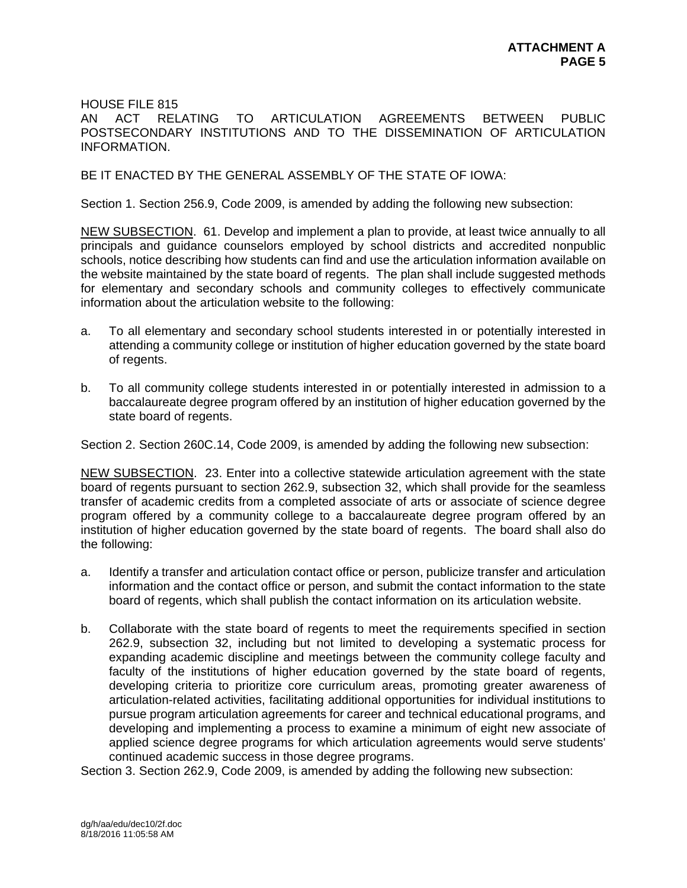HOUSE FILE 815

AN ACT RELATING TO ARTICULATION AGREEMENTS BETWEEN PUBLIC POSTSECONDARY INSTITUTIONS AND TO THE DISSEMINATION OF ARTICULATION INFORMATION.

## BE IT ENACTED BY THE GENERAL ASSEMBLY OF THE STATE OF IOWA:

Section 1. Section 256.9, Code 2009, is amended by adding the following new subsection:

NEW SUBSECTION. 61. Develop and implement a plan to provide, at least twice annually to all principals and guidance counselors employed by school districts and accredited nonpublic schools, notice describing how students can find and use the articulation information available on the website maintained by the state board of regents. The plan shall include suggested methods for elementary and secondary schools and community colleges to effectively communicate information about the articulation website to the following:

- a. To all elementary and secondary school students interested in or potentially interested in attending a community college or institution of higher education governed by the state board of regents.
- b. To all community college students interested in or potentially interested in admission to a baccalaureate degree program offered by an institution of higher education governed by the state board of regents.

Section 2. Section 260C.14, Code 2009, is amended by adding the following new subsection:

NEW SUBSECTION. 23. Enter into a collective statewide articulation agreement with the state board of regents pursuant to section 262.9, subsection 32, which shall provide for the seamless transfer of academic credits from a completed associate of arts or associate of science degree program offered by a community college to a baccalaureate degree program offered by an institution of higher education governed by the state board of regents. The board shall also do the following:

- a. Identify a transfer and articulation contact office or person, publicize transfer and articulation information and the contact office or person, and submit the contact information to the state board of regents, which shall publish the contact information on its articulation website.
- b. Collaborate with the state board of regents to meet the requirements specified in section 262.9, subsection 32, including but not limited to developing a systematic process for expanding academic discipline and meetings between the community college faculty and faculty of the institutions of higher education governed by the state board of regents, developing criteria to prioritize core curriculum areas, promoting greater awareness of articulation-related activities, facilitating additional opportunities for individual institutions to pursue program articulation agreements for career and technical educational programs, and developing and implementing a process to examine a minimum of eight new associate of applied science degree programs for which articulation agreements would serve students' continued academic success in those degree programs.

Section 3. Section 262.9, Code 2009, is amended by adding the following new subsection: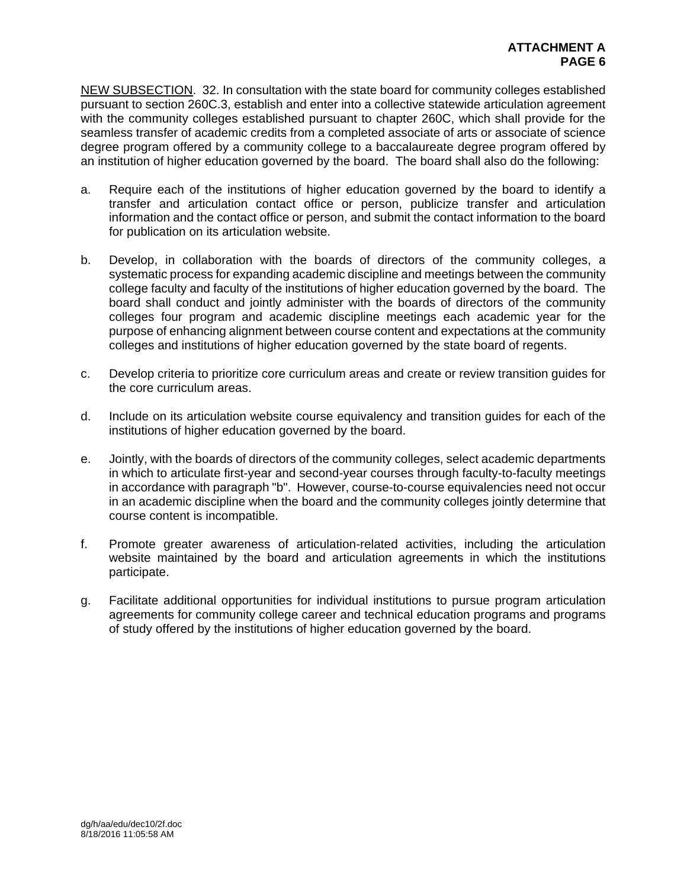NEW SUBSECTION. 32. In consultation with the state board for community colleges established pursuant to section 260C.3, establish and enter into a collective statewide articulation agreement with the community colleges established pursuant to chapter 260C, which shall provide for the seamless transfer of academic credits from a completed associate of arts or associate of science degree program offered by a community college to a baccalaureate degree program offered by an institution of higher education governed by the board. The board shall also do the following:

- a. Require each of the institutions of higher education governed by the board to identify a transfer and articulation contact office or person, publicize transfer and articulation information and the contact office or person, and submit the contact information to the board for publication on its articulation website.
- b. Develop, in collaboration with the boards of directors of the community colleges, a systematic process for expanding academic discipline and meetings between the community college faculty and faculty of the institutions of higher education governed by the board. The board shall conduct and jointly administer with the boards of directors of the community colleges four program and academic discipline meetings each academic year for the purpose of enhancing alignment between course content and expectations at the community colleges and institutions of higher education governed by the state board of regents.
- c. Develop criteria to prioritize core curriculum areas and create or review transition guides for the core curriculum areas.
- d. Include on its articulation website course equivalency and transition guides for each of the institutions of higher education governed by the board.
- e. Jointly, with the boards of directors of the community colleges, select academic departments in which to articulate first-year and second-year courses through faculty-to-faculty meetings in accordance with paragraph "b". However, course-to-course equivalencies need not occur in an academic discipline when the board and the community colleges jointly determine that course content is incompatible.
- f. Promote greater awareness of articulation-related activities, including the articulation website maintained by the board and articulation agreements in which the institutions participate.
- g. Facilitate additional opportunities for individual institutions to pursue program articulation agreements for community college career and technical education programs and programs of study offered by the institutions of higher education governed by the board.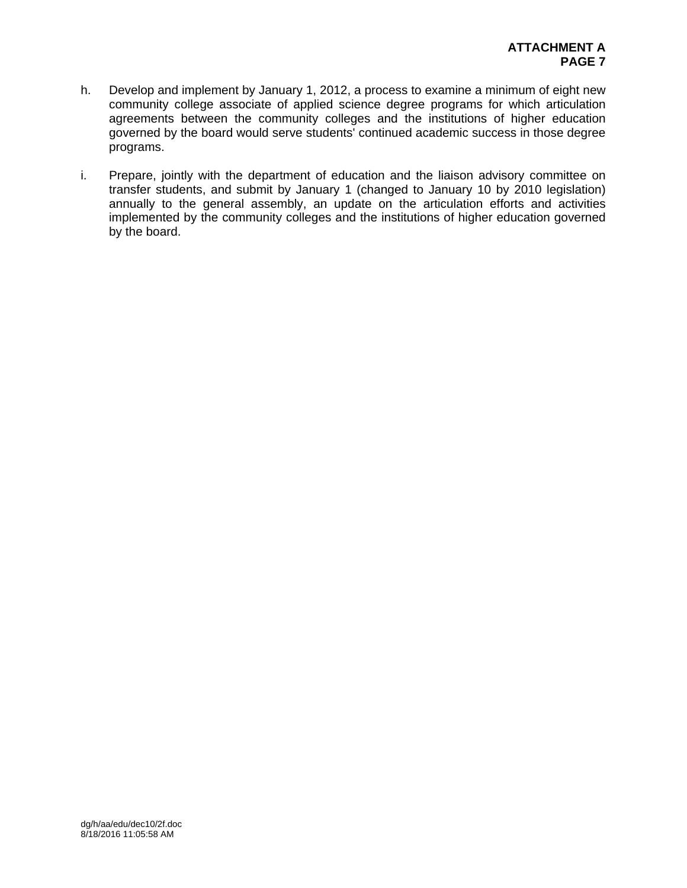- h. Develop and implement by January 1, 2012, a process to examine a minimum of eight new community college associate of applied science degree programs for which articulation agreements between the community colleges and the institutions of higher education governed by the board would serve students' continued academic success in those degree programs.
- i. Prepare, jointly with the department of education and the liaison advisory committee on transfer students, and submit by January 1 (changed to January 10 by 2010 legislation) annually to the general assembly, an update on the articulation efforts and activities implemented by the community colleges and the institutions of higher education governed by the board.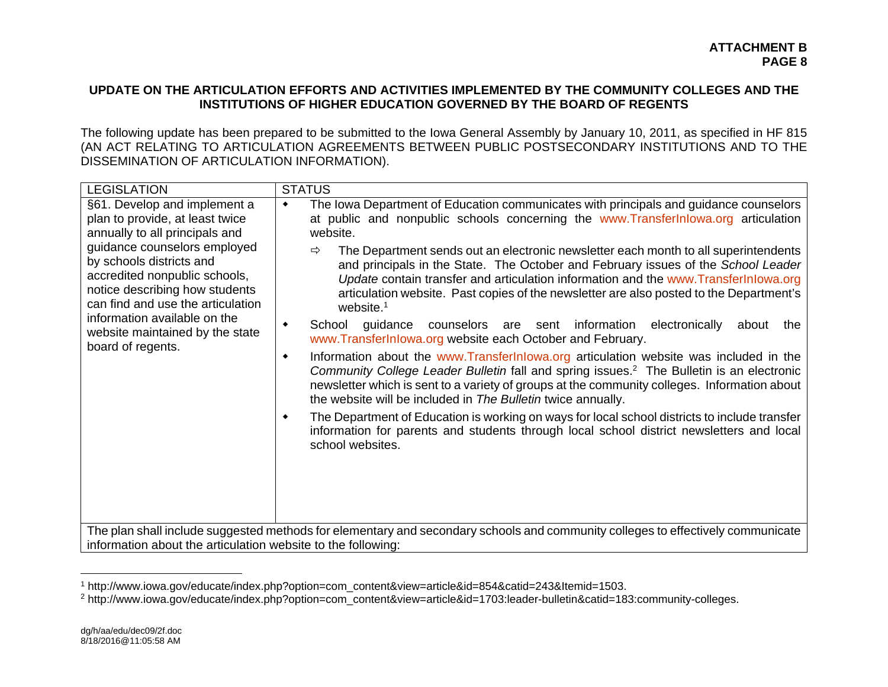## **UPDATE ON THE ARTICULATION EFFORTS AND ACTIVITIES IMPLEMENTED BY THE COMMUNITY COLLEGES AND THE INSTITUTIONS OF HIGHER EDUCATION GOVERNED BY THE BOARD OF REGENTS**

The following update has been prepared to be submitted to the Iowa General Assembly by January 10, 2011, as specified in HF 815 (AN ACT RELATING TO ARTICULATION AGREEMENTS BETWEEN PUBLIC POSTSECONDARY INSTITUTIONS AND TO THE DISSEMINATION OF ARTICULATION INFORMATION).

| <b>LEGISLATION</b>                                                                                                                                                                                                                                                                                                                                            | <b>STATUS</b>                                                                                                                                                                                                                                                                                                                                                                                                                                                                                                                                                                                                                                                                                                                                                                                                                                                                                                                                                                                                                                                                                                                                                                                                                                                                                                                                                                                                                                                                   |  |  |
|---------------------------------------------------------------------------------------------------------------------------------------------------------------------------------------------------------------------------------------------------------------------------------------------------------------------------------------------------------------|---------------------------------------------------------------------------------------------------------------------------------------------------------------------------------------------------------------------------------------------------------------------------------------------------------------------------------------------------------------------------------------------------------------------------------------------------------------------------------------------------------------------------------------------------------------------------------------------------------------------------------------------------------------------------------------------------------------------------------------------------------------------------------------------------------------------------------------------------------------------------------------------------------------------------------------------------------------------------------------------------------------------------------------------------------------------------------------------------------------------------------------------------------------------------------------------------------------------------------------------------------------------------------------------------------------------------------------------------------------------------------------------------------------------------------------------------------------------------------|--|--|
| §61. Develop and implement a<br>plan to provide, at least twice<br>annually to all principals and<br>guidance counselors employed<br>by schools districts and<br>accredited nonpublic schools,<br>notice describing how students<br>can find and use the articulation<br>information available on the<br>website maintained by the state<br>board of regents. | The Iowa Department of Education communicates with principals and guidance counselors<br>۰<br>at public and nonpublic schools concerning the www.Transfer Inlowa.org articulation<br>website.<br>The Department sends out an electronic newsletter each month to all superintendents<br>⇨<br>and principals in the State. The October and February issues of the School Leader<br>Update contain transfer and articulation information and the www.TransferInlowa.org<br>articulation website. Past copies of the newsletter are also posted to the Department's<br>website. <sup>1</sup><br>guidance counselors are sent information electronically<br>School<br>about<br>٠<br>the<br>www.TransferInlowa.org website each October and February.<br>Information about the www.Transferinlowa.org articulation website was included in the<br>٠<br>Community College Leader Bulletin fall and spring issues. <sup>2</sup> The Bulletin is an electronic<br>newsletter which is sent to a variety of groups at the community colleges. Information about<br>the website will be included in The Bulletin twice annually.<br>The Department of Education is working on ways for local school districts to include transfer<br>٠<br>information for parents and students through local school district newsletters and local<br>school websites.<br>The plan shall include suggested methods for elementary and secondary schools and community colleges to effectively communicate |  |  |
| information about the articulation website to the following:                                                                                                                                                                                                                                                                                                  |                                                                                                                                                                                                                                                                                                                                                                                                                                                                                                                                                                                                                                                                                                                                                                                                                                                                                                                                                                                                                                                                                                                                                                                                                                                                                                                                                                                                                                                                                 |  |  |

<sup>&</sup>lt;sup>1</sup> http://www.iowa.gov/educate/index.php?option=com\_content&view=article&id=854&catid=243&Itemid=1503.<br><sup>2</sup> http://www.iowa.gov/educate/index.php?option=com\_content&view=article&id=1703:leader-bulletin&catid=183:community-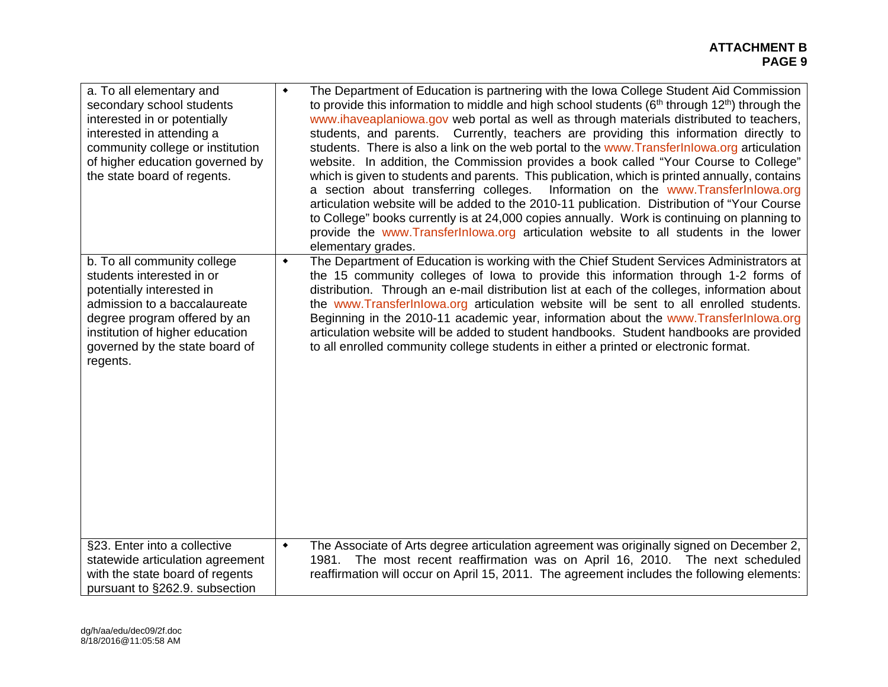| a. To all elementary and<br>secondary school students<br>interested in or potentially<br>interested in attending a<br>community college or institution<br>of higher education governed by<br>the state board of regents.               | ۰               | The Department of Education is partnering with the Iowa College Student Aid Commission<br>to provide this information to middle and high school students ( $6th$ through 12 <sup>th</sup> ) through the<br>www.ihaveaplaniowa.gov web portal as well as through materials distributed to teachers,<br>students, and parents. Currently, teachers are providing this information directly to<br>students. There is also a link on the web portal to the www. Transfer Inlowa.org articulation<br>website. In addition, the Commission provides a book called "Your Course to College"<br>which is given to students and parents. This publication, which is printed annually, contains<br>a section about transferring colleges. Information on the www.TransferInlowa.org<br>articulation website will be added to the 2010-11 publication. Distribution of "Your Course<br>to College" books currently is at 24,000 copies annually. Work is continuing on planning to<br>provide the www.Transferlnlowa.org articulation website to all students in the lower<br>elementary grades. |
|----------------------------------------------------------------------------------------------------------------------------------------------------------------------------------------------------------------------------------------|-----------------|---------------------------------------------------------------------------------------------------------------------------------------------------------------------------------------------------------------------------------------------------------------------------------------------------------------------------------------------------------------------------------------------------------------------------------------------------------------------------------------------------------------------------------------------------------------------------------------------------------------------------------------------------------------------------------------------------------------------------------------------------------------------------------------------------------------------------------------------------------------------------------------------------------------------------------------------------------------------------------------------------------------------------------------------------------------------------------------|
| b. To all community college<br>students interested in or<br>potentially interested in<br>admission to a baccalaureate<br>degree program offered by an<br>institution of higher education<br>governed by the state board of<br>regents. | ٠               | The Department of Education is working with the Chief Student Services Administrators at<br>the 15 community colleges of lowa to provide this information through 1-2 forms of<br>distribution. Through an e-mail distribution list at each of the colleges, information about<br>the www.TransferInlowa.org articulation website will be sent to all enrolled students.<br>Beginning in the 2010-11 academic year, information about the www.TransferInlowa.org<br>articulation website will be added to student handbooks. Student handbooks are provided<br>to all enrolled community college students in either a printed or electronic format.                                                                                                                                                                                                                                                                                                                                                                                                                                   |
| §23. Enter into a collective<br>statewide articulation agreement<br>with the state board of regents<br>pursuant to §262.9. subsection                                                                                                  | $\blacklozenge$ | The Associate of Arts degree articulation agreement was originally signed on December 2,<br>The most recent reaffirmation was on April 16, 2010. The next scheduled<br>1981.<br>reaffirmation will occur on April 15, 2011. The agreement includes the following elements:                                                                                                                                                                                                                                                                                                                                                                                                                                                                                                                                                                                                                                                                                                                                                                                                            |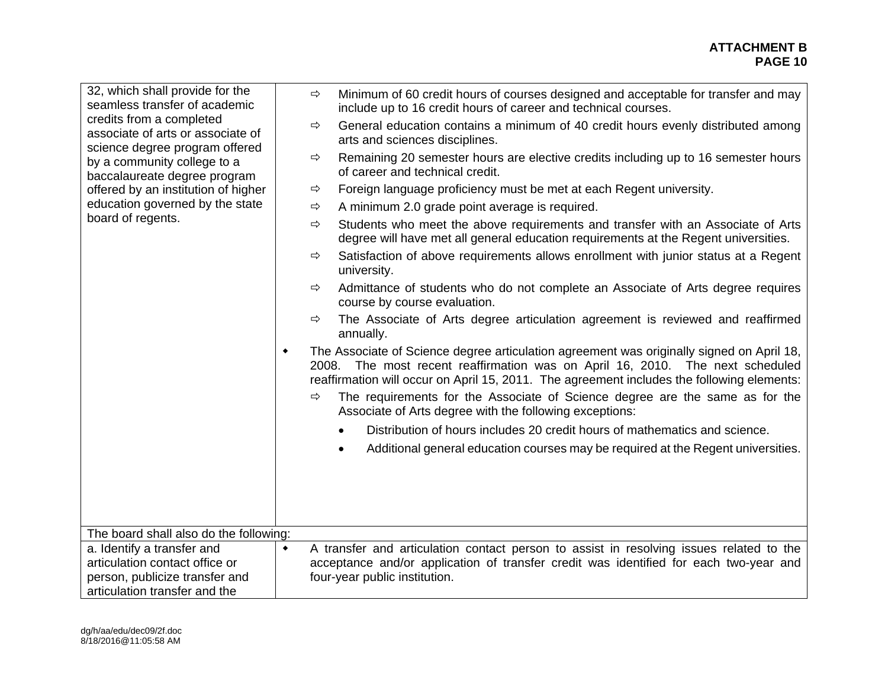| 32, which shall provide for the<br>seamless transfer of academic<br>credits from a completed<br>associate of arts or associate of | $\Rightarrow$   | Minimum of 60 credit hours of courses designed and acceptable for transfer and may<br>include up to 16 credit hours of career and technical courses.                                                                                                                     |  |  |
|-----------------------------------------------------------------------------------------------------------------------------------|-----------------|--------------------------------------------------------------------------------------------------------------------------------------------------------------------------------------------------------------------------------------------------------------------------|--|--|
|                                                                                                                                   | ⇨               | General education contains a minimum of 40 credit hours evenly distributed among<br>arts and sciences disciplines.                                                                                                                                                       |  |  |
| science degree program offered<br>by a community college to a<br>baccalaureate degree program                                     | $\Rightarrow$   | Remaining 20 semester hours are elective credits including up to 16 semester hours<br>of career and technical credit.                                                                                                                                                    |  |  |
| offered by an institution of higher<br>education governed by the state                                                            | ⇨<br>⇨          | Foreign language proficiency must be met at each Regent university.<br>A minimum 2.0 grade point average is required.                                                                                                                                                    |  |  |
| board of regents.                                                                                                                 | ⇨               | Students who meet the above requirements and transfer with an Associate of Arts                                                                                                                                                                                          |  |  |
|                                                                                                                                   |                 | degree will have met all general education requirements at the Regent universities.                                                                                                                                                                                      |  |  |
|                                                                                                                                   | ⇨               | Satisfaction of above requirements allows enrollment with junior status at a Regent<br>university.                                                                                                                                                                       |  |  |
|                                                                                                                                   | $\Rightarrow$   | Admittance of students who do not complete an Associate of Arts degree requires<br>course by course evaluation.                                                                                                                                                          |  |  |
|                                                                                                                                   | ⇨               | The Associate of Arts degree articulation agreement is reviewed and reaffirmed<br>annually.                                                                                                                                                                              |  |  |
|                                                                                                                                   | ۰               | The Associate of Science degree articulation agreement was originally signed on April 18,<br>2008. The most recent reaffirmation was on April 16, 2010. The next scheduled<br>reaffirmation will occur on April 15, 2011. The agreement includes the following elements: |  |  |
|                                                                                                                                   | ⇨               | The requirements for the Associate of Science degree are the same as for the<br>Associate of Arts degree with the following exceptions:                                                                                                                                  |  |  |
|                                                                                                                                   |                 | Distribution of hours includes 20 credit hours of mathematics and science.                                                                                                                                                                                               |  |  |
|                                                                                                                                   |                 | Additional general education courses may be required at the Regent universities.                                                                                                                                                                                         |  |  |
|                                                                                                                                   |                 |                                                                                                                                                                                                                                                                          |  |  |
|                                                                                                                                   |                 |                                                                                                                                                                                                                                                                          |  |  |
|                                                                                                                                   |                 |                                                                                                                                                                                                                                                                          |  |  |
| The board shall also do the following:                                                                                            |                 |                                                                                                                                                                                                                                                                          |  |  |
| a. Identify a transfer and<br>articulation contact office or                                                                      | $\blacklozenge$ | A transfer and articulation contact person to assist in resolving issues related to the<br>acceptance and/or application of transfer credit was identified for each two-year and                                                                                         |  |  |
| person, publicize transfer and                                                                                                    |                 | four-year public institution.                                                                                                                                                                                                                                            |  |  |
| articulation transfer and the                                                                                                     |                 |                                                                                                                                                                                                                                                                          |  |  |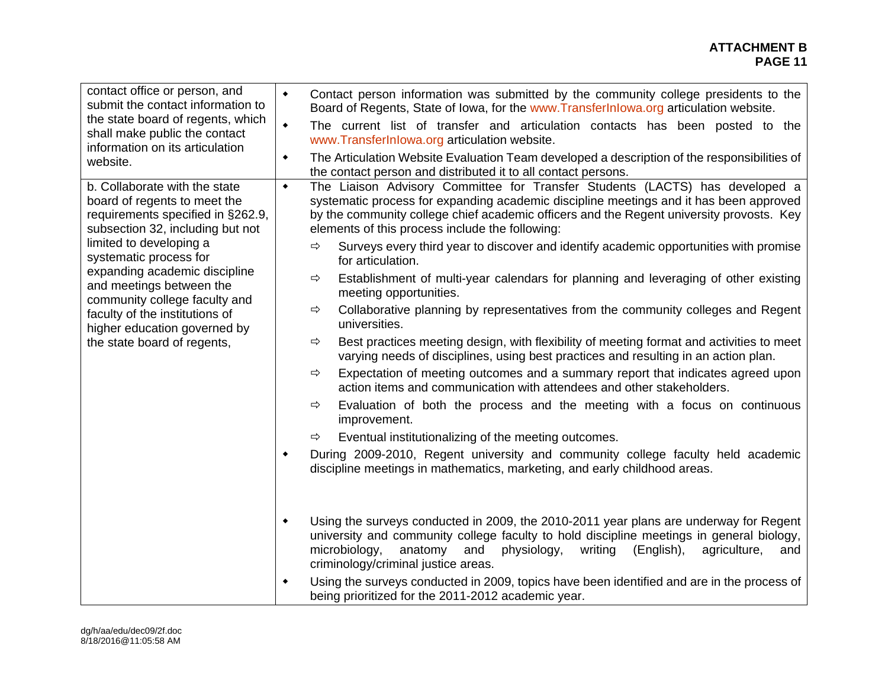#### **ATTACHMENT B PAGE 11 PAGE 11**

| contact office or person, and<br>submit the contact information to<br>the state board of regents, which<br>shall make public the contact<br>information on its articulation<br>website.                                                                                                                                                                                                    | $\blacklozenge$<br>Contact person information was submitted by the community college presidents to the<br>Board of Regents, State of Iowa, for the www.Transferlnlowa.org articulation website.<br>The current list of transfer and articulation contacts has been posted to the<br>$\blacklozenge$<br>www.TransferInlowa.org articulation website.<br>The Articulation Website Evaluation Team developed a description of the responsibilities of<br>٠<br>the contact person and distributed it to all contact persons.                                                                                                                                                                                                                                                                                                                                                                                                                                                                                                                                                                                                                                                                                                                                                                                                                                                                                                                                                                                                                                                                                                                                                                                                   |
|--------------------------------------------------------------------------------------------------------------------------------------------------------------------------------------------------------------------------------------------------------------------------------------------------------------------------------------------------------------------------------------------|----------------------------------------------------------------------------------------------------------------------------------------------------------------------------------------------------------------------------------------------------------------------------------------------------------------------------------------------------------------------------------------------------------------------------------------------------------------------------------------------------------------------------------------------------------------------------------------------------------------------------------------------------------------------------------------------------------------------------------------------------------------------------------------------------------------------------------------------------------------------------------------------------------------------------------------------------------------------------------------------------------------------------------------------------------------------------------------------------------------------------------------------------------------------------------------------------------------------------------------------------------------------------------------------------------------------------------------------------------------------------------------------------------------------------------------------------------------------------------------------------------------------------------------------------------------------------------------------------------------------------------------------------------------------------------------------------------------------------|
| b. Collaborate with the state<br>board of regents to meet the<br>requirements specified in §262.9,<br>subsection 32, including but not<br>limited to developing a<br>systematic process for<br>expanding academic discipline<br>and meetings between the<br>community college faculty and<br>faculty of the institutions of<br>higher education governed by<br>the state board of regents, | The Liaison Advisory Committee for Transfer Students (LACTS) has developed a<br>٠<br>systematic process for expanding academic discipline meetings and it has been approved<br>by the community college chief academic officers and the Regent university provosts. Key<br>elements of this process include the following:<br>Surveys every third year to discover and identify academic opportunities with promise<br>⇨<br>for articulation.<br>Establishment of multi-year calendars for planning and leveraging of other existing<br>⇨<br>meeting opportunities.<br>Collaborative planning by representatives from the community colleges and Regent<br>⇨<br>universities.<br>Best practices meeting design, with flexibility of meeting format and activities to meet<br>$\Rightarrow$<br>varying needs of disciplines, using best practices and resulting in an action plan.<br>Expectation of meeting outcomes and a summary report that indicates agreed upon<br>⇨<br>action items and communication with attendees and other stakeholders.<br>Evaluation of both the process and the meeting with a focus on continuous<br>$\Rightarrow$<br>improvement.<br>Eventual institutionalizing of the meeting outcomes.<br>⇨<br>During 2009-2010, Regent university and community college faculty held academic<br>$\blacklozenge$<br>discipline meetings in mathematics, marketing, and early childhood areas.<br>Using the surveys conducted in 2009, the 2010-2011 year plans are underway for Regent<br>$\blacklozenge$<br>university and community college faculty to hold discipline meetings in general biology,<br>microbiology,<br>anatomy<br>and<br>physiology,<br>writing<br>(English),<br>agriculture,<br>and |
|                                                                                                                                                                                                                                                                                                                                                                                            | criminology/criminal justice areas.<br>Using the surveys conducted in 2009, topics have been identified and are in the process of<br>$\blacklozenge$<br>being prioritized for the 2011-2012 academic year.                                                                                                                                                                                                                                                                                                                                                                                                                                                                                                                                                                                                                                                                                                                                                                                                                                                                                                                                                                                                                                                                                                                                                                                                                                                                                                                                                                                                                                                                                                                 |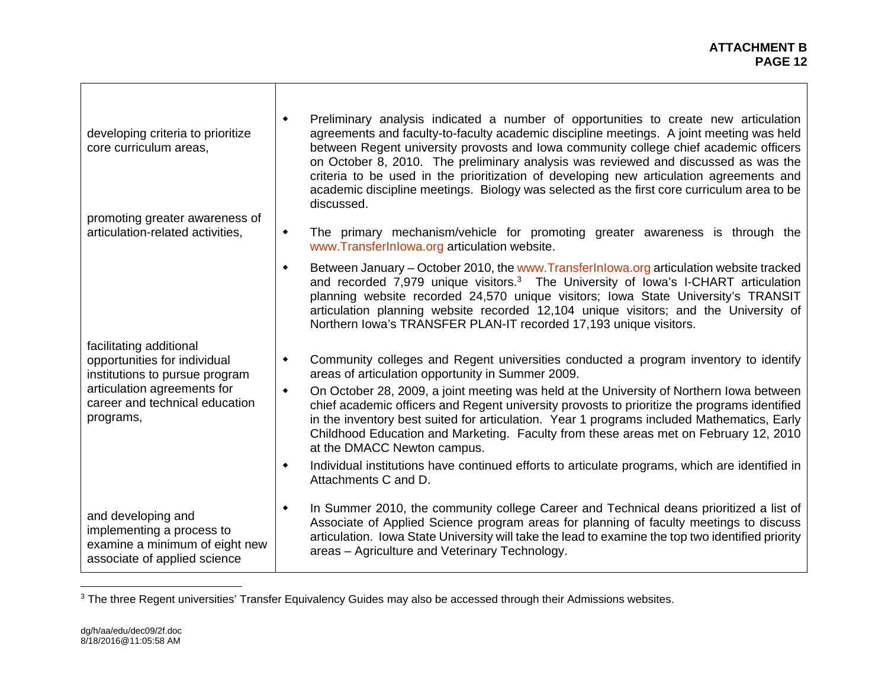h

| developing criteria to prioritize<br>core curriculum areas,<br>promoting greater awareness of                     | Preliminary analysis indicated a number of opportunities to create new articulation<br>٠<br>agreements and faculty-to-faculty academic discipline meetings. A joint meeting was held<br>between Regent university provosts and lowa community college chief academic officers<br>on October 8, 2010. The preliminary analysis was reviewed and discussed as was the<br>criteria to be used in the prioritization of developing new articulation agreements and<br>academic discipline meetings. Biology was selected as the first core curriculum area to be<br>discussed. |
|-------------------------------------------------------------------------------------------------------------------|----------------------------------------------------------------------------------------------------------------------------------------------------------------------------------------------------------------------------------------------------------------------------------------------------------------------------------------------------------------------------------------------------------------------------------------------------------------------------------------------------------------------------------------------------------------------------|
| articulation-related activities,                                                                                  | The primary mechanism/vehicle for promoting greater awareness is through the<br>٠<br>www.TransferInlowa.org articulation website.                                                                                                                                                                                                                                                                                                                                                                                                                                          |
|                                                                                                                   | Between January – October 2010, the www.Transferlnlowa.org articulation website tracked<br>۰<br>and recorded 7,979 unique visitors. <sup>3</sup> The University of Iowa's I-CHART articulation<br>planning website recorded 24,570 unique visitors; Iowa State University's TRANSIT<br>articulation planning website recorded 12,104 unique visitors; and the University of<br>Northern Iowa's TRANSFER PLAN-IT recorded 17,193 unique visitors.                                                                                                                           |
| facilitating additional<br>opportunities for individual<br>institutions to pursue program                         | Community colleges and Regent universities conducted a program inventory to identify<br>٠<br>areas of articulation opportunity in Summer 2009.                                                                                                                                                                                                                                                                                                                                                                                                                             |
| articulation agreements for<br>career and technical education<br>programs,                                        | On October 28, 2009, a joint meeting was held at the University of Northern Iowa between<br>$\blacklozenge$<br>chief academic officers and Regent university provosts to prioritize the programs identified<br>in the inventory best suited for articulation. Year 1 programs included Mathematics, Early<br>Childhood Education and Marketing. Faculty from these areas met on February 12, 2010<br>at the DMACC Newton campus.                                                                                                                                           |
|                                                                                                                   | Individual institutions have continued efforts to articulate programs, which are identified in<br>$\blacklozenge$<br>Attachments C and D.                                                                                                                                                                                                                                                                                                                                                                                                                                  |
| and developing and<br>implementing a process to<br>examine a minimum of eight new<br>associate of applied science | In Summer 2010, the community college Career and Technical deans prioritized a list of<br>٠<br>Associate of Applied Science program areas for planning of faculty meetings to discuss<br>articulation. Iowa State University will take the lead to examine the top two identified priority<br>areas - Agriculture and Veterinary Technology.                                                                                                                                                                                                                               |

<sup>&</sup>lt;sup>3</sup> The three Regent universities' Transfer Equivalency Guides may also be accessed through their Admissions websites.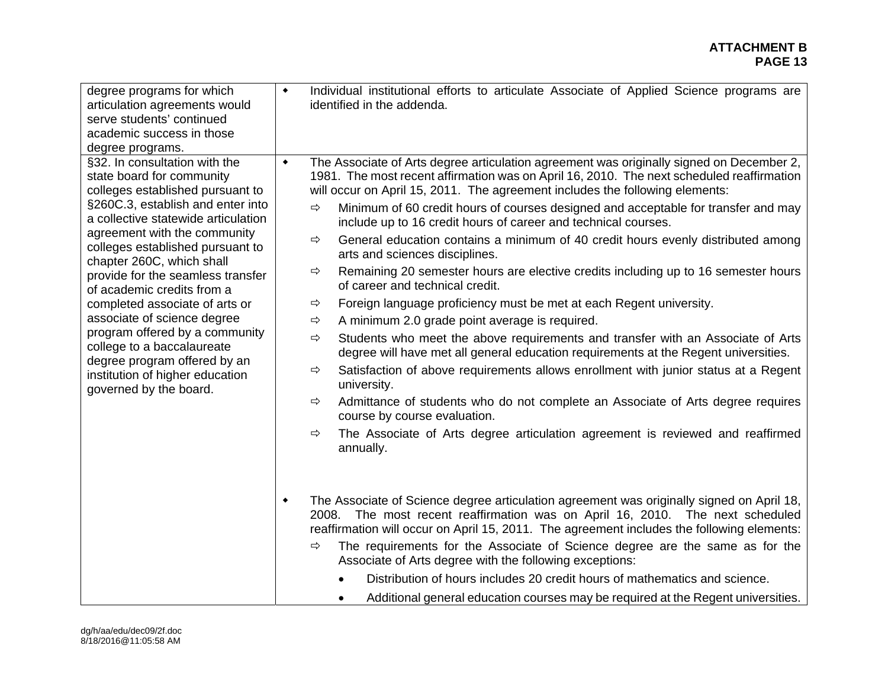| degree programs for which<br>articulation agreements would<br>serve students' continued<br>academic success in those<br>degree programs.                                                                                                                                                                                                                                                                                                                                                                                                                                     | $\blacklozenge$                                                                      | Individual institutional efforts to articulate Associate of Applied Science programs are<br>identified in the addenda.                                                                                                                                                                                                                                                                                                                                                                                                                                                                                                                                                                                                                                                                                                                                                                                                                                                                                                                                                                                                                                                                                                                                                                                  |
|------------------------------------------------------------------------------------------------------------------------------------------------------------------------------------------------------------------------------------------------------------------------------------------------------------------------------------------------------------------------------------------------------------------------------------------------------------------------------------------------------------------------------------------------------------------------------|--------------------------------------------------------------------------------------|---------------------------------------------------------------------------------------------------------------------------------------------------------------------------------------------------------------------------------------------------------------------------------------------------------------------------------------------------------------------------------------------------------------------------------------------------------------------------------------------------------------------------------------------------------------------------------------------------------------------------------------------------------------------------------------------------------------------------------------------------------------------------------------------------------------------------------------------------------------------------------------------------------------------------------------------------------------------------------------------------------------------------------------------------------------------------------------------------------------------------------------------------------------------------------------------------------------------------------------------------------------------------------------------------------|
| §32. In consultation with the<br>state board for community<br>colleges established pursuant to<br>§260C.3, establish and enter into<br>a collective statewide articulation<br>agreement with the community<br>colleges established pursuant to<br>chapter 260C, which shall<br>provide for the seamless transfer<br>of academic credits from a<br>completed associate of arts or<br>associate of science degree<br>program offered by a community<br>college to a baccalaureate<br>degree program offered by an<br>institution of higher education<br>governed by the board. | $\blacklozenge$<br>$\Rightarrow$<br>⇨<br>$\Rightarrow$<br>⇨<br>⇨<br>⇨<br>⇨<br>⇨<br>⇨ | The Associate of Arts degree articulation agreement was originally signed on December 2,<br>1981. The most recent affirmation was on April 16, 2010. The next scheduled reaffirmation<br>will occur on April 15, 2011. The agreement includes the following elements:<br>Minimum of 60 credit hours of courses designed and acceptable for transfer and may<br>include up to 16 credit hours of career and technical courses.<br>General education contains a minimum of 40 credit hours evenly distributed among<br>arts and sciences disciplines.<br>Remaining 20 semester hours are elective credits including up to 16 semester hours<br>of career and technical credit.<br>Foreign language proficiency must be met at each Regent university.<br>A minimum 2.0 grade point average is required.<br>Students who meet the above requirements and transfer with an Associate of Arts<br>degree will have met all general education requirements at the Regent universities.<br>Satisfaction of above requirements allows enrollment with junior status at a Regent<br>university.<br>Admittance of students who do not complete an Associate of Arts degree requires<br>course by course evaluation.<br>The Associate of Arts degree articulation agreement is reviewed and reaffirmed<br>annually. |
|                                                                                                                                                                                                                                                                                                                                                                                                                                                                                                                                                                              | $\blacklozenge$<br>⇨                                                                 | The Associate of Science degree articulation agreement was originally signed on April 18,<br>The most recent reaffirmation was on April 16, 2010. The next scheduled<br>2008.<br>reaffirmation will occur on April 15, 2011. The agreement includes the following elements:<br>The requirements for the Associate of Science degree are the same as for the<br>Associate of Arts degree with the following exceptions:<br>Distribution of hours includes 20 credit hours of mathematics and science.<br>Additional general education courses may be required at the Regent universities.                                                                                                                                                                                                                                                                                                                                                                                                                                                                                                                                                                                                                                                                                                                |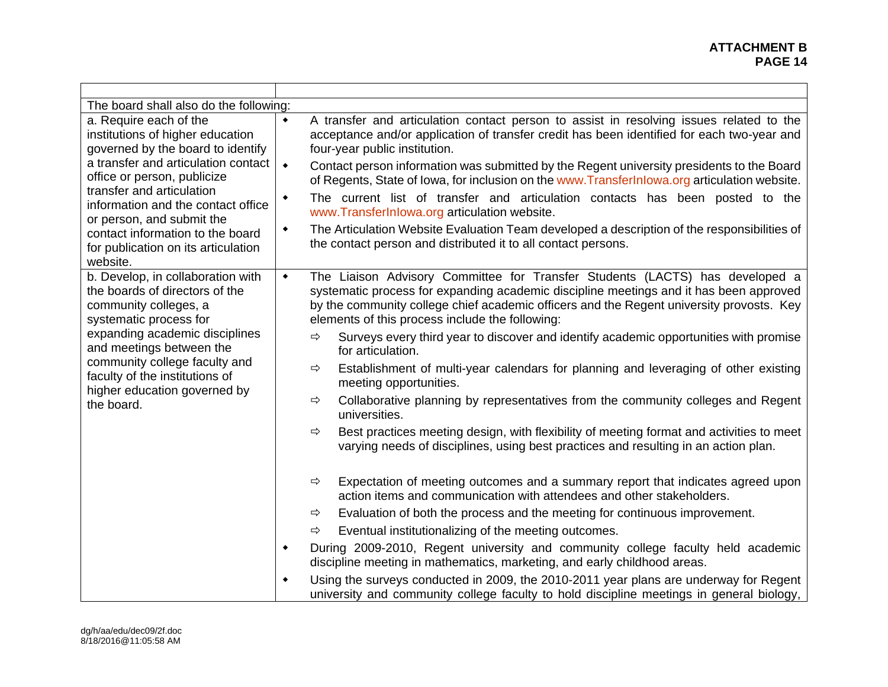#### **ATTACHMENT B PAGE 14 PAGE 14**

| The board shall also do the following:                                                                                                                                                                                                                                                                                                                       |                           |                                                                                                                                                                                                                                                                                                                                                                                                                                                                                                                                                                                                                                                                                                                                                                                                                                                                                                                                                                                                                                                                                                                                                                                                                                                                                                                                                                                                                                                                                                                                                   |  |
|--------------------------------------------------------------------------------------------------------------------------------------------------------------------------------------------------------------------------------------------------------------------------------------------------------------------------------------------------------------|---------------------------|---------------------------------------------------------------------------------------------------------------------------------------------------------------------------------------------------------------------------------------------------------------------------------------------------------------------------------------------------------------------------------------------------------------------------------------------------------------------------------------------------------------------------------------------------------------------------------------------------------------------------------------------------------------------------------------------------------------------------------------------------------------------------------------------------------------------------------------------------------------------------------------------------------------------------------------------------------------------------------------------------------------------------------------------------------------------------------------------------------------------------------------------------------------------------------------------------------------------------------------------------------------------------------------------------------------------------------------------------------------------------------------------------------------------------------------------------------------------------------------------------------------------------------------------------|--|
| a. Require each of the<br>institutions of higher education<br>governed by the board to identify<br>a transfer and articulation contact<br>office or person, publicize<br>transfer and articulation<br>information and the contact office<br>or person, and submit the<br>contact information to the board<br>for publication on its articulation<br>website. |                           | A transfer and articulation contact person to assist in resolving issues related to the<br>acceptance and/or application of transfer credit has been identified for each two-year and<br>four-year public institution.<br>Contact person information was submitted by the Regent university presidents to the Board<br>of Regents, State of Iowa, for inclusion on the www.TransferInlowa.org articulation website.<br>The current list of transfer and articulation contacts has been posted to the<br>www.TransferInlowa.org articulation website.<br>The Articulation Website Evaluation Team developed a description of the responsibilities of<br>the contact person and distributed it to all contact persons.                                                                                                                                                                                                                                                                                                                                                                                                                                                                                                                                                                                                                                                                                                                                                                                                                              |  |
| b. Develop, in collaboration with<br>the boards of directors of the<br>community colleges, a<br>systematic process for<br>expanding academic disciplines<br>and meetings between the<br>community college faculty and<br>faculty of the institutions of<br>higher education governed by<br>the board.                                                        | $\blacklozenge$<br>٠<br>٠ | The Liaison Advisory Committee for Transfer Students (LACTS) has developed a<br>systematic process for expanding academic discipline meetings and it has been approved<br>by the community college chief academic officers and the Regent university provosts. Key<br>elements of this process include the following:<br>Surveys every third year to discover and identify academic opportunities with promise<br>⇨<br>for articulation.<br>Establishment of multi-year calendars for planning and leveraging of other existing<br>⇨<br>meeting opportunities.<br>Collaborative planning by representatives from the community colleges and Regent<br>⇨<br>universities.<br>Best practices meeting design, with flexibility of meeting format and activities to meet<br>⇨<br>varying needs of disciplines, using best practices and resulting in an action plan.<br>Expectation of meeting outcomes and a summary report that indicates agreed upon<br>⇨<br>action items and communication with attendees and other stakeholders.<br>Evaluation of both the process and the meeting for continuous improvement.<br>⇨<br>Eventual institutionalizing of the meeting outcomes.<br>$\Rightarrow$<br>During 2009-2010, Regent university and community college faculty held academic<br>discipline meeting in mathematics, marketing, and early childhood areas.<br>Using the surveys conducted in 2009, the 2010-2011 year plans are underway for Regent<br>university and community college faculty to hold discipline meetings in general biology, |  |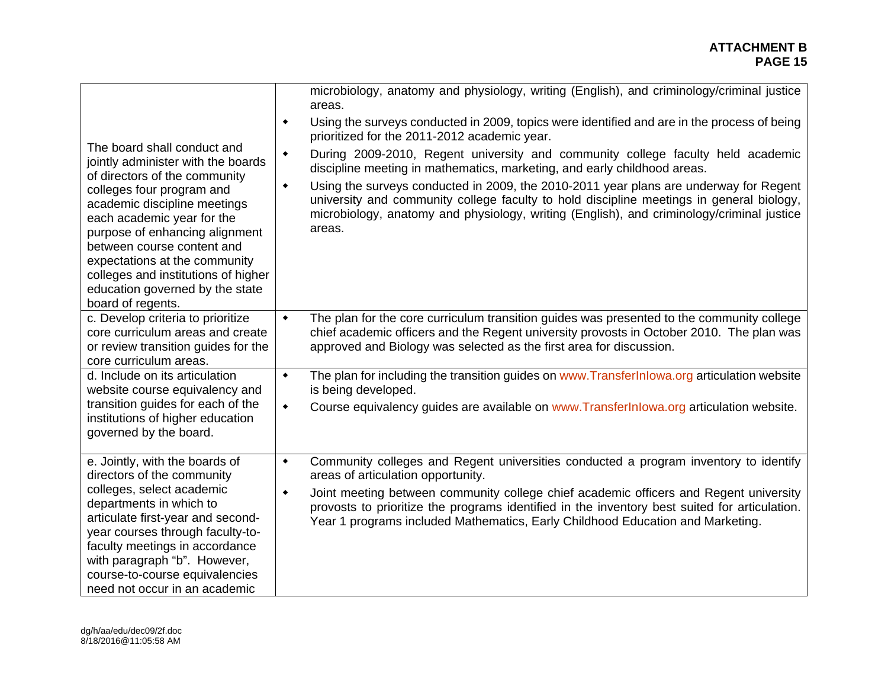| The board shall conduct and<br>jointly administer with the boards<br>of directors of the community<br>colleges four program and<br>academic discipline meetings<br>each academic year for the<br>purpose of enhancing alignment<br>between course content and<br>expectations at the community<br>colleges and institutions of higher<br>education governed by the state<br>board of regents. | microbiology, anatomy and physiology, writing (English), and criminology/criminal justice<br>areas.<br>Using the surveys conducted in 2009, topics were identified and are in the process of being<br>۰<br>prioritized for the 2011-2012 academic year.<br>During 2009-2010, Regent university and community college faculty held academic<br>$\blacklozenge$<br>discipline meeting in mathematics, marketing, and early childhood areas.<br>Using the surveys conducted in 2009, the 2010-2011 year plans are underway for Regent<br>٠<br>university and community college faculty to hold discipline meetings in general biology,<br>microbiology, anatomy and physiology, writing (English), and criminology/criminal justice<br>areas. |
|-----------------------------------------------------------------------------------------------------------------------------------------------------------------------------------------------------------------------------------------------------------------------------------------------------------------------------------------------------------------------------------------------|--------------------------------------------------------------------------------------------------------------------------------------------------------------------------------------------------------------------------------------------------------------------------------------------------------------------------------------------------------------------------------------------------------------------------------------------------------------------------------------------------------------------------------------------------------------------------------------------------------------------------------------------------------------------------------------------------------------------------------------------|
| c. Develop criteria to prioritize                                                                                                                                                                                                                                                                                                                                                             | The plan for the core curriculum transition guides was presented to the community college                                                                                                                                                                                                                                                                                                                                                                                                                                                                                                                                                                                                                                                  |
| core curriculum areas and create                                                                                                                                                                                                                                                                                                                                                              | $\blacklozenge$                                                                                                                                                                                                                                                                                                                                                                                                                                                                                                                                                                                                                                                                                                                            |
| or review transition guides for the                                                                                                                                                                                                                                                                                                                                                           | chief academic officers and the Regent university provosts in October 2010. The plan was                                                                                                                                                                                                                                                                                                                                                                                                                                                                                                                                                                                                                                                   |
| core curriculum areas.                                                                                                                                                                                                                                                                                                                                                                        | approved and Biology was selected as the first area for discussion.                                                                                                                                                                                                                                                                                                                                                                                                                                                                                                                                                                                                                                                                        |
| d. Include on its articulation                                                                                                                                                                                                                                                                                                                                                                | The plan for including the transition guides on www.Transferlnlowa.org articulation website                                                                                                                                                                                                                                                                                                                                                                                                                                                                                                                                                                                                                                                |
| website course equivalency and                                                                                                                                                                                                                                                                                                                                                                | $\blacklozenge$                                                                                                                                                                                                                                                                                                                                                                                                                                                                                                                                                                                                                                                                                                                            |
| transition guides for each of the                                                                                                                                                                                                                                                                                                                                                             | is being developed.                                                                                                                                                                                                                                                                                                                                                                                                                                                                                                                                                                                                                                                                                                                        |
| institutions of higher education                                                                                                                                                                                                                                                                                                                                                              | Course equivalency guides are available on www.TransferInlowa.org articulation website.                                                                                                                                                                                                                                                                                                                                                                                                                                                                                                                                                                                                                                                    |
| governed by the board.                                                                                                                                                                                                                                                                                                                                                                        | $\blacklozenge$                                                                                                                                                                                                                                                                                                                                                                                                                                                                                                                                                                                                                                                                                                                            |
| e. Jointly, with the boards of<br>directors of the community<br>colleges, select academic<br>departments in which to<br>articulate first-year and second-<br>year courses through faculty-to-<br>faculty meetings in accordance<br>with paragraph "b". However,<br>course-to-course equivalencies<br>need not occur in an academic                                                            | Community colleges and Regent universities conducted a program inventory to identify<br>$\blacklozenge$<br>areas of articulation opportunity.<br>Joint meeting between community college chief academic officers and Regent university<br>$\blacklozenge$<br>provosts to prioritize the programs identified in the inventory best suited for articulation.<br>Year 1 programs included Mathematics, Early Childhood Education and Marketing.                                                                                                                                                                                                                                                                                               |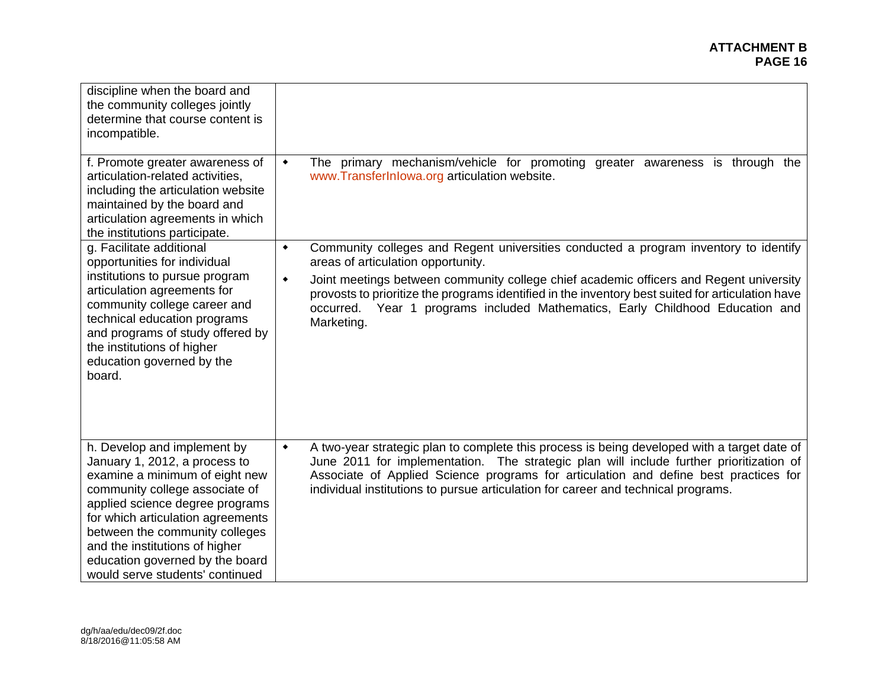| discipline when the board and<br>the community colleges jointly<br>determine that course content is<br>incompatible.                                                                                                                                                                                                                               |                                                                                                                                                                                                                                                                                                                                                                                        |
|----------------------------------------------------------------------------------------------------------------------------------------------------------------------------------------------------------------------------------------------------------------------------------------------------------------------------------------------------|----------------------------------------------------------------------------------------------------------------------------------------------------------------------------------------------------------------------------------------------------------------------------------------------------------------------------------------------------------------------------------------|
| f. Promote greater awareness of<br>articulation-related activities,<br>including the articulation website<br>maintained by the board and<br>articulation agreements in which<br>the institutions participate.                                                                                                                                      | The primary mechanism/vehicle for promoting greater awareness is through the<br>$\blacklozenge$<br>www.TransferInlowa.org articulation website.                                                                                                                                                                                                                                        |
| g. Facilitate additional<br>opportunities for individual                                                                                                                                                                                                                                                                                           | Community colleges and Regent universities conducted a program inventory to identify<br>٠<br>areas of articulation opportunity.                                                                                                                                                                                                                                                        |
| institutions to pursue program<br>articulation agreements for<br>community college career and<br>technical education programs<br>and programs of study offered by<br>the institutions of higher<br>education governed by the<br>board.                                                                                                             | Joint meetings between community college chief academic officers and Regent university<br>$\blacklozenge$<br>provosts to prioritize the programs identified in the inventory best suited for articulation have<br>Year 1 programs included Mathematics, Early Childhood Education and<br>occurred.<br>Marketing.                                                                       |
| h. Develop and implement by<br>January 1, 2012, a process to<br>examine a minimum of eight new<br>community college associate of<br>applied science degree programs<br>for which articulation agreements<br>between the community colleges<br>and the institutions of higher<br>education governed by the board<br>would serve students' continued | A two-year strategic plan to complete this process is being developed with a target date of<br>$\blacklozenge$<br>June 2011 for implementation. The strategic plan will include further prioritization of<br>Associate of Applied Science programs for articulation and define best practices for<br>individual institutions to pursue articulation for career and technical programs. |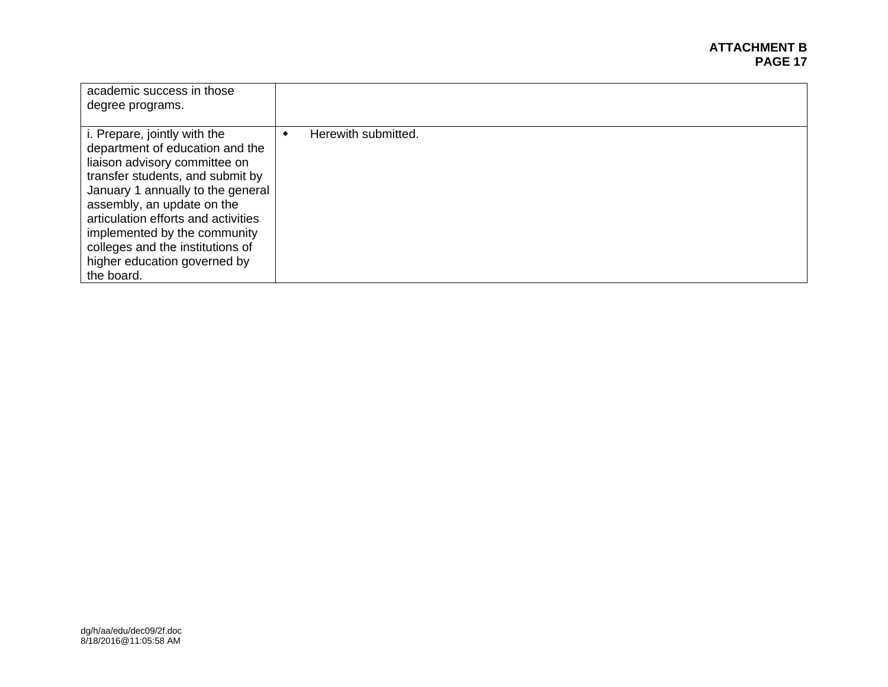#### **ATTACHMENT B PAGE 17 PAGE 17**

| academic success in those<br>degree programs.                                                                                                                                                                                                                                                                                                                           |                     |
|-------------------------------------------------------------------------------------------------------------------------------------------------------------------------------------------------------------------------------------------------------------------------------------------------------------------------------------------------------------------------|---------------------|
| <i>i.</i> Prepare, jointly with the<br>department of education and the<br>liaison advisory committee on<br>transfer students, and submit by<br>January 1 annually to the general<br>assembly, an update on the<br>articulation efforts and activities<br>implemented by the community<br>colleges and the institutions of<br>higher education governed by<br>the board. | Herewith submitted. |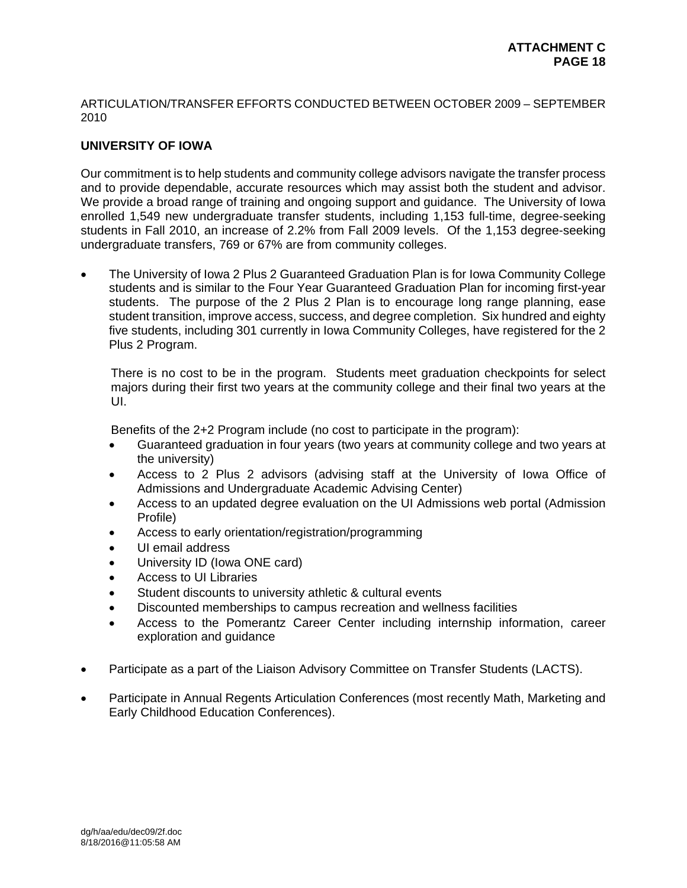#### ARTICULATION/TRANSFER EFFORTS CONDUCTED BETWEEN OCTOBER 2009 – SEPTEMBER 2010

## **UNIVERSITY OF IOWA**

Our commitment is to help students and community college advisors navigate the transfer process and to provide dependable, accurate resources which may assist both the student and advisor. We provide a broad range of training and ongoing support and guidance. The University of Iowa enrolled 1,549 new undergraduate transfer students, including 1,153 full-time, degree-seeking students in Fall 2010, an increase of 2.2% from Fall 2009 levels. Of the 1,153 degree-seeking undergraduate transfers, 769 or 67% are from community colleges.

 The University of Iowa 2 Plus 2 Guaranteed Graduation Plan is for Iowa Community College students and is similar to the Four Year Guaranteed Graduation Plan for incoming first-year students. The purpose of the 2 Plus 2 Plan is to encourage long range planning, ease student transition, improve access, success, and degree completion. Six hundred and eighty five students, including 301 currently in Iowa Community Colleges, have registered for the 2 Plus 2 Program.

There is no cost to be in the program. Students meet graduation checkpoints for select majors during their first two years at the community college and their final two years at the UI.

Benefits of the 2+2 Program include (no cost to participate in the program):

- Guaranteed graduation in four years (two years at community college and two years at the university)
- Access to 2 Plus 2 advisors (advising staff at the University of Iowa Office of Admissions and Undergraduate Academic Advising Center)
- Access to an updated degree evaluation on the UI Admissions web portal (Admission Profile)
- Access to early orientation/registration/programming
- UI email address
- University ID (Iowa ONE card)
- Access to UI Libraries
- Student discounts to university athletic & cultural events
- Discounted memberships to campus recreation and wellness facilities
- Access to the Pomerantz Career Center including internship information, career exploration and guidance
- Participate as a part of the Liaison Advisory Committee on Transfer Students (LACTS).
- Participate in Annual Regents Articulation Conferences (most recently Math, Marketing and Early Childhood Education Conferences).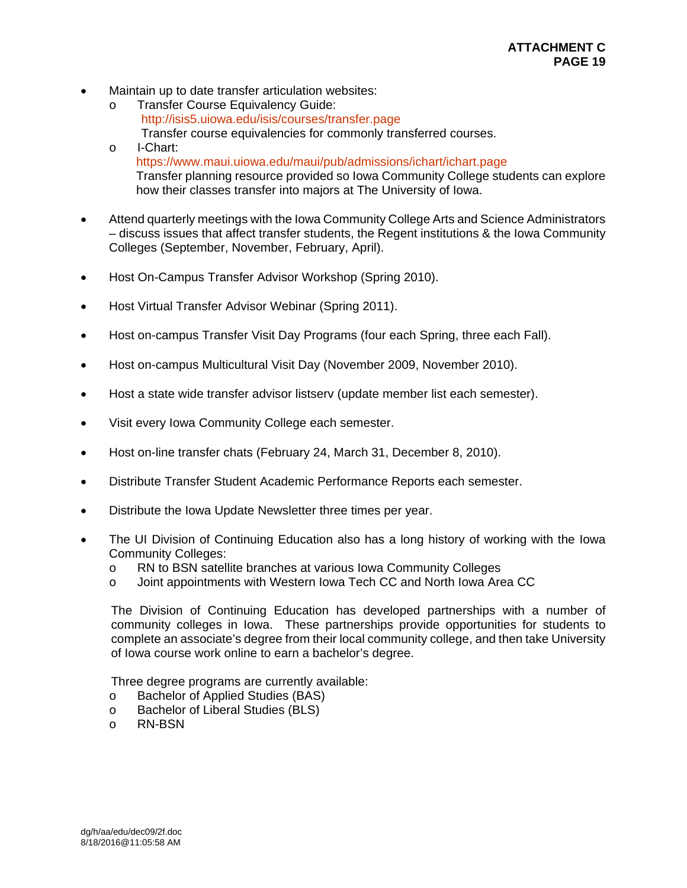- Maintain up to date transfer articulation websites:
	- o Transfer Course Equivalency Guide: http://isis5.uiowa.edu/isis/courses/transfer.page Transfer course equivalencies for commonly transferred courses.
	- o I-Chart: https://www.maui.uiowa.edu/maui/pub/admissions/ichart/ichart.page Transfer planning resource provided so Iowa Community College students can explore how their classes transfer into majors at The University of Iowa.
- Attend quarterly meetings with the Iowa Community College Arts and Science Administrators – discuss issues that affect transfer students, the Regent institutions & the Iowa Community Colleges (September, November, February, April).
- Host On-Campus Transfer Advisor Workshop (Spring 2010).
- Host Virtual Transfer Advisor Webinar (Spring 2011).
- Host on-campus Transfer Visit Day Programs (four each Spring, three each Fall).
- Host on-campus Multicultural Visit Day (November 2009, November 2010).
- Host a state wide transfer advisor listsery (update member list each semester).
- Visit every lowa Community College each semester.
- Host on-line transfer chats (February 24, March 31, December 8, 2010).
- Distribute Transfer Student Academic Performance Reports each semester.
- Distribute the Iowa Update Newsletter three times per year.
- The UI Division of Continuing Education also has a long history of working with the Iowa Community Colleges:
	- o RN to BSN satellite branches at various Iowa Community Colleges
	- o Joint appointments with Western Iowa Tech CC and North Iowa Area CC

The Division of Continuing Education has developed partnerships with a number of community colleges in Iowa. These partnerships provide opportunities for students to complete an associate's degree from their local community college, and then take University of Iowa course work online to earn a bachelor's degree.

Three degree programs are currently available:

- o Bachelor of Applied Studies (BAS)
- o Bachelor of Liberal Studies (BLS)
- o RN-BSN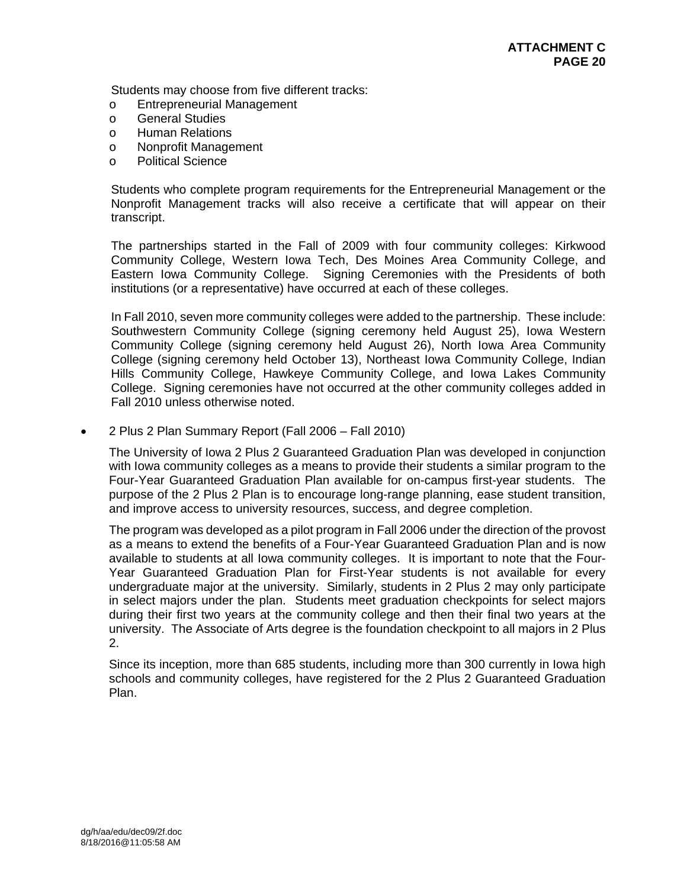Students may choose from five different tracks:

- o Entrepreneurial Management
- o General Studies
- o Human Relations
- o Nonprofit Management
- o Political Science

Students who complete program requirements for the Entrepreneurial Management or the Nonprofit Management tracks will also receive a certificate that will appear on their transcript.

The partnerships started in the Fall of 2009 with four community colleges: Kirkwood Community College, Western Iowa Tech, Des Moines Area Community College, and Eastern Iowa Community College. Signing Ceremonies with the Presidents of both institutions (or a representative) have occurred at each of these colleges.

In Fall 2010, seven more community colleges were added to the partnership. These include: Southwestern Community College (signing ceremony held August 25), Iowa Western Community College (signing ceremony held August 26), North Iowa Area Community College (signing ceremony held October 13), Northeast Iowa Community College, Indian Hills Community College, Hawkeye Community College, and Iowa Lakes Community College. Signing ceremonies have not occurred at the other community colleges added in Fall 2010 unless otherwise noted.

2 Plus 2 Plan Summary Report (Fall 2006 – Fall 2010)

The University of Iowa 2 Plus 2 Guaranteed Graduation Plan was developed in conjunction with Iowa community colleges as a means to provide their students a similar program to the Four-Year Guaranteed Graduation Plan available for on-campus first-year students. The purpose of the 2 Plus 2 Plan is to encourage long-range planning, ease student transition, and improve access to university resources, success, and degree completion.

The program was developed as a pilot program in Fall 2006 under the direction of the provost as a means to extend the benefits of a Four-Year Guaranteed Graduation Plan and is now available to students at all Iowa community colleges. It is important to note that the Four-Year Guaranteed Graduation Plan for First-Year students is not available for every undergraduate major at the university. Similarly, students in 2 Plus 2 may only participate in select majors under the plan. Students meet graduation checkpoints for select majors during their first two years at the community college and then their final two years at the university. The Associate of Arts degree is the foundation checkpoint to all majors in 2 Plus 2.

Since its inception, more than 685 students, including more than 300 currently in Iowa high schools and community colleges, have registered for the 2 Plus 2 Guaranteed Graduation Plan.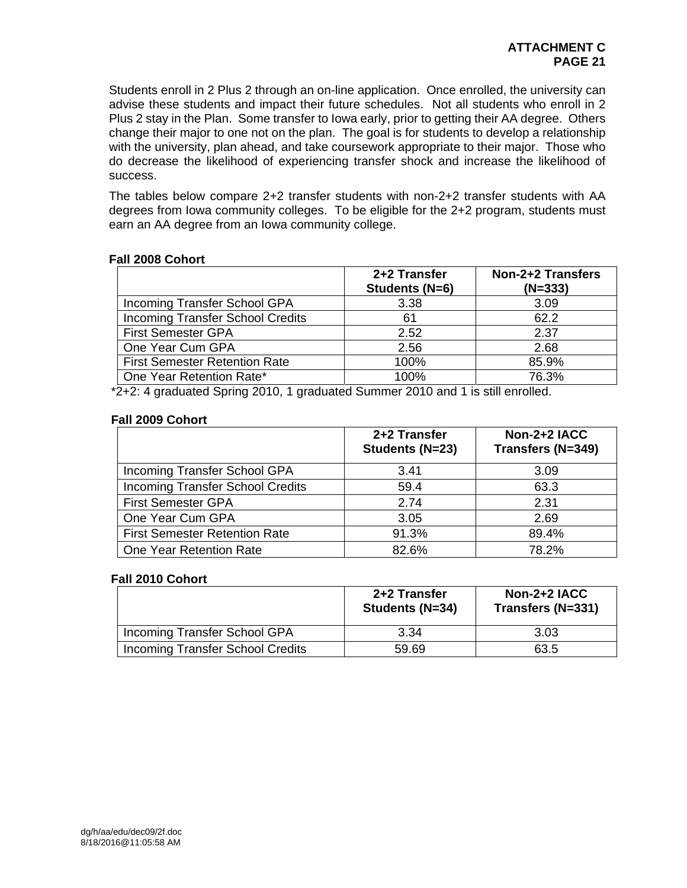Students enroll in 2 Plus 2 through an on-line application. Once enrolled, the university can advise these students and impact their future schedules. Not all students who enroll in 2 Plus 2 stay in the Plan. Some transfer to Iowa early, prior to getting their AA degree. Others change their major to one not on the plan. The goal is for students to develop a relationship with the university, plan ahead, and take coursework appropriate to their major. Those who do decrease the likelihood of experiencing transfer shock and increase the likelihood of success.

The tables below compare 2+2 transfer students with non-2+2 transfer students with AA degrees from Iowa community colleges. To be eligible for the 2+2 program, students must earn an AA degree from an Iowa community college.

## **Fall 2008 Cohort**

|                                         | 2+2 Transfer<br>Students (N=6) | <b>Non-2+2 Transfers</b><br>$(N=333)$ |
|-----------------------------------------|--------------------------------|---------------------------------------|
| Incoming Transfer School GPA            | 3.38                           | 3.09                                  |
| <b>Incoming Transfer School Credits</b> | 61                             | 62.2                                  |
| <b>First Semester GPA</b>               | 2.52                           | 2.37                                  |
| One Year Cum GPA                        | 2.56                           | 2.68                                  |
| <b>First Semester Retention Rate</b>    | 100%                           | 85.9%                                 |
| One Year Retention Rate*                | 100%                           | 76.3%                                 |

\*2+2: 4 graduated Spring 2010, 1 graduated Summer 2010 and 1 is still enrolled.

### **Fall 2009 Cohort**

|                                         | 2+2 Transfer<br>Students (N=23) | Non-2+2 IACC<br>Transfers (N=349) |
|-----------------------------------------|---------------------------------|-----------------------------------|
| Incoming Transfer School GPA            | 3.41                            | 3.09                              |
| <b>Incoming Transfer School Credits</b> | 59.4                            | 63.3                              |
| <b>First Semester GPA</b>               | 2.74                            | 2.31                              |
| One Year Cum GPA                        | 3.05                            | 2.69                              |
| <b>First Semester Retention Rate</b>    | 91.3%                           | 89.4%                             |
| One Year Retention Rate                 | 82.6%                           | 78.2%                             |

## **Fall 2010 Cohort**

|                                         | 2+2 Transfer<br>Students (N=34) | $Non-2+2$ $IACC$<br>Transfers (N=331) |
|-----------------------------------------|---------------------------------|---------------------------------------|
| Incoming Transfer School GPA            | 3.34                            | 3.03                                  |
| <b>Incoming Transfer School Credits</b> | 59.69                           | 63.5                                  |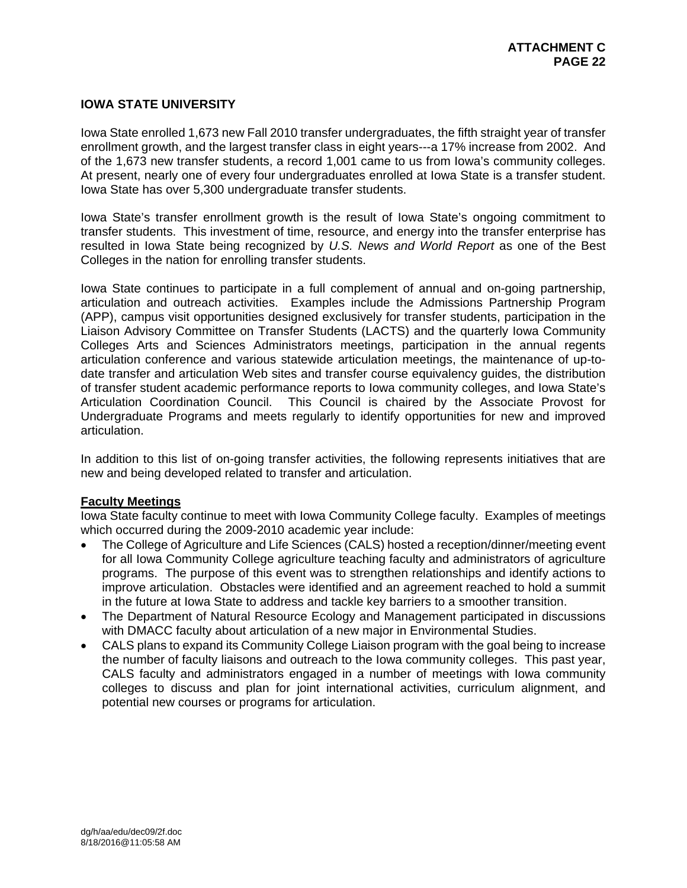## **IOWA STATE UNIVERSITY**

Iowa State enrolled 1,673 new Fall 2010 transfer undergraduates, the fifth straight year of transfer enrollment growth, and the largest transfer class in eight years---a 17% increase from 2002. And of the 1,673 new transfer students, a record 1,001 came to us from Iowa's community colleges. At present, nearly one of every four undergraduates enrolled at Iowa State is a transfer student. Iowa State has over 5,300 undergraduate transfer students.

Iowa State's transfer enrollment growth is the result of Iowa State's ongoing commitment to transfer students. This investment of time, resource, and energy into the transfer enterprise has resulted in Iowa State being recognized by *U.S. News and World Report* as one of the Best Colleges in the nation for enrolling transfer students.

Iowa State continues to participate in a full complement of annual and on-going partnership, articulation and outreach activities. Examples include the Admissions Partnership Program (APP), campus visit opportunities designed exclusively for transfer students, participation in the Liaison Advisory Committee on Transfer Students (LACTS) and the quarterly Iowa Community Colleges Arts and Sciences Administrators meetings, participation in the annual regents articulation conference and various statewide articulation meetings, the maintenance of up-todate transfer and articulation Web sites and transfer course equivalency guides, the distribution of transfer student academic performance reports to Iowa community colleges, and Iowa State's Articulation Coordination Council. This Council is chaired by the Associate Provost for Undergraduate Programs and meets regularly to identify opportunities for new and improved articulation.

In addition to this list of on-going transfer activities, the following represents initiatives that are new and being developed related to transfer and articulation.

#### **Faculty Meetings**

Iowa State faculty continue to meet with Iowa Community College faculty. Examples of meetings which occurred during the 2009-2010 academic year include:

- The College of Agriculture and Life Sciences (CALS) hosted a reception/dinner/meeting event for all Iowa Community College agriculture teaching faculty and administrators of agriculture programs. The purpose of this event was to strengthen relationships and identify actions to improve articulation. Obstacles were identified and an agreement reached to hold a summit in the future at Iowa State to address and tackle key barriers to a smoother transition.
- The Department of Natural Resource Ecology and Management participated in discussions with DMACC faculty about articulation of a new major in Environmental Studies.
- CALS plans to expand its Community College Liaison program with the goal being to increase the number of faculty liaisons and outreach to the Iowa community colleges. This past year, CALS faculty and administrators engaged in a number of meetings with Iowa community colleges to discuss and plan for joint international activities, curriculum alignment, and potential new courses or programs for articulation.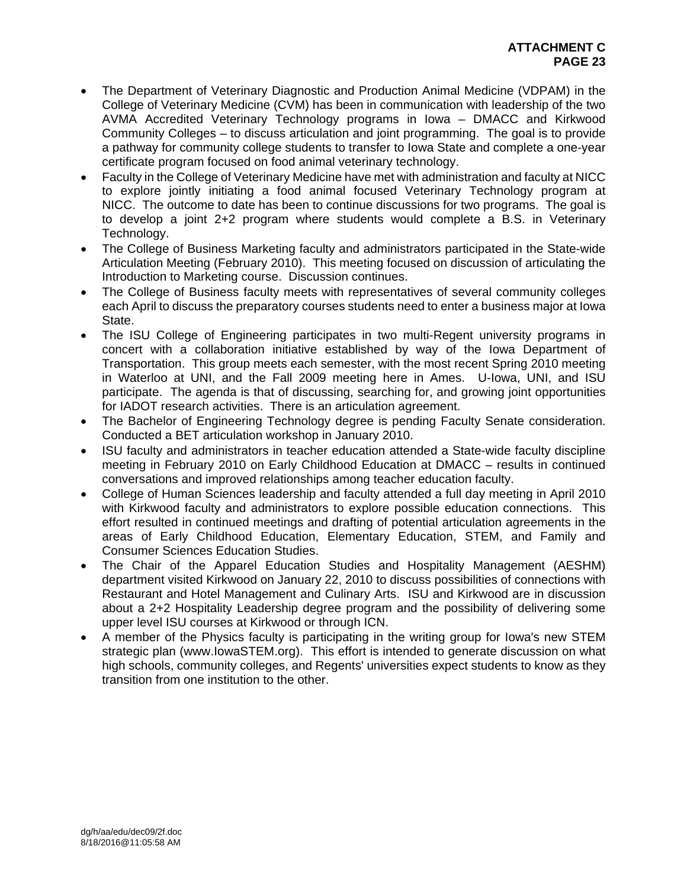- The Department of Veterinary Diagnostic and Production Animal Medicine (VDPAM) in the College of Veterinary Medicine (CVM) has been in communication with leadership of the two AVMA Accredited Veterinary Technology programs in Iowa – DMACC and Kirkwood Community Colleges – to discuss articulation and joint programming. The goal is to provide a pathway for community college students to transfer to Iowa State and complete a one-year certificate program focused on food animal veterinary technology.
- Faculty in the College of Veterinary Medicine have met with administration and faculty at NICC to explore jointly initiating a food animal focused Veterinary Technology program at NICC. The outcome to date has been to continue discussions for two programs. The goal is to develop a joint 2+2 program where students would complete a B.S. in Veterinary Technology.
- The College of Business Marketing faculty and administrators participated in the State-wide Articulation Meeting (February 2010). This meeting focused on discussion of articulating the Introduction to Marketing course. Discussion continues.
- The College of Business faculty meets with representatives of several community colleges each April to discuss the preparatory courses students need to enter a business major at Iowa State.
- The ISU College of Engineering participates in two multi-Regent university programs in concert with a collaboration initiative established by way of the Iowa Department of Transportation. This group meets each semester, with the most recent Spring 2010 meeting in Waterloo at UNI, and the Fall 2009 meeting here in Ames. U-Iowa, UNI, and ISU participate. The agenda is that of discussing, searching for, and growing joint opportunities for IADOT research activities. There is an articulation agreement.
- The Bachelor of Engineering Technology degree is pending Faculty Senate consideration. Conducted a BET articulation workshop in January 2010.
- ISU faculty and administrators in teacher education attended a State-wide faculty discipline meeting in February 2010 on Early Childhood Education at DMACC – results in continued conversations and improved relationships among teacher education faculty.
- College of Human Sciences leadership and faculty attended a full day meeting in April 2010 with Kirkwood faculty and administrators to explore possible education connections. This effort resulted in continued meetings and drafting of potential articulation agreements in the areas of Early Childhood Education, Elementary Education, STEM, and Family and Consumer Sciences Education Studies.
- The Chair of the Apparel Education Studies and Hospitality Management (AESHM) department visited Kirkwood on January 22, 2010 to discuss possibilities of connections with Restaurant and Hotel Management and Culinary Arts. ISU and Kirkwood are in discussion about a 2+2 Hospitality Leadership degree program and the possibility of delivering some upper level ISU courses at Kirkwood or through ICN.
- A member of the Physics faculty is participating in the writing group for Iowa's new STEM strategic plan (www.IowaSTEM.org). This effort is intended to generate discussion on what high schools, community colleges, and Regents' universities expect students to know as they transition from one institution to the other.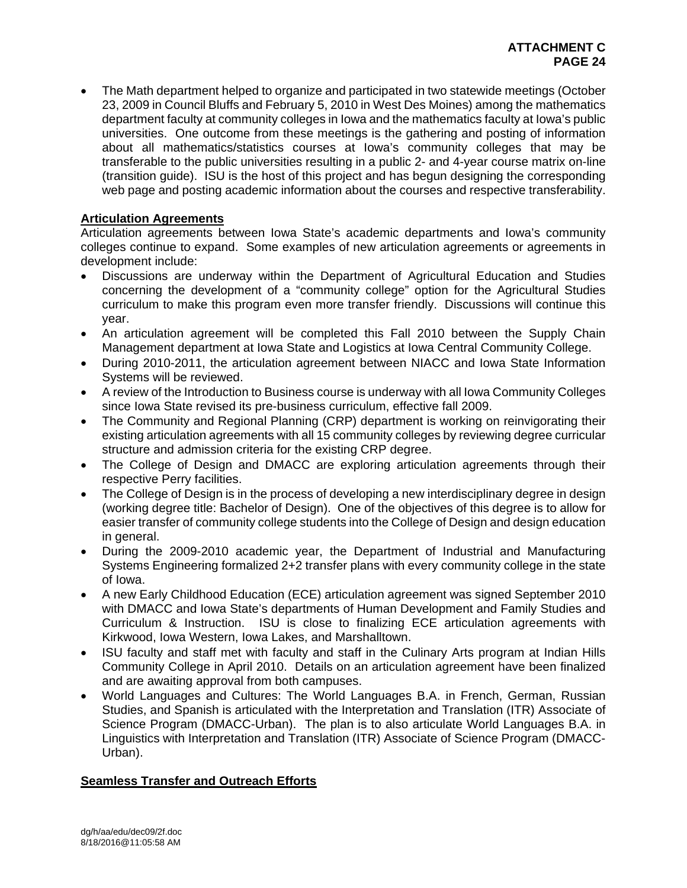The Math department helped to organize and participated in two statewide meetings (October 23, 2009 in Council Bluffs and February 5, 2010 in West Des Moines) among the mathematics department faculty at community colleges in Iowa and the mathematics faculty at Iowa's public universities. One outcome from these meetings is the gathering and posting of information about all mathematics/statistics courses at Iowa's community colleges that may be transferable to the public universities resulting in a public 2- and 4-year course matrix on-line (transition guide). ISU is the host of this project and has begun designing the corresponding web page and posting academic information about the courses and respective transferability.

# **Articulation Agreements**

Articulation agreements between Iowa State's academic departments and Iowa's community colleges continue to expand. Some examples of new articulation agreements or agreements in development include:

- Discussions are underway within the Department of Agricultural Education and Studies concerning the development of a "community college" option for the Agricultural Studies curriculum to make this program even more transfer friendly. Discussions will continue this year.
- An articulation agreement will be completed this Fall 2010 between the Supply Chain Management department at Iowa State and Logistics at Iowa Central Community College.
- During 2010-2011, the articulation agreement between NIACC and Iowa State Information Systems will be reviewed.
- A review of the Introduction to Business course is underway with all Iowa Community Colleges since Iowa State revised its pre-business curriculum, effective fall 2009.
- The Community and Regional Planning (CRP) department is working on reinvigorating their existing articulation agreements with all 15 community colleges by reviewing degree curricular structure and admission criteria for the existing CRP degree.
- The College of Design and DMACC are exploring articulation agreements through their respective Perry facilities.
- The College of Design is in the process of developing a new interdisciplinary degree in design (working degree title: Bachelor of Design). One of the objectives of this degree is to allow for easier transfer of community college students into the College of Design and design education in general.
- During the 2009-2010 academic year, the Department of Industrial and Manufacturing Systems Engineering formalized 2+2 transfer plans with every community college in the state of Iowa.
- A new Early Childhood Education (ECE) articulation agreement was signed September 2010 with DMACC and Iowa State's departments of Human Development and Family Studies and Curriculum & Instruction. ISU is close to finalizing ECE articulation agreements with Kirkwood, Iowa Western, Iowa Lakes, and Marshalltown.
- ISU faculty and staff met with faculty and staff in the Culinary Arts program at Indian Hills Community College in April 2010. Details on an articulation agreement have been finalized and are awaiting approval from both campuses.
- World Languages and Cultures: The World Languages B.A. in French, German, Russian Studies, and Spanish is articulated with the Interpretation and Translation (ITR) Associate of Science Program (DMACC-Urban). The plan is to also articulate World Languages B.A. in Linguistics with Interpretation and Translation (ITR) Associate of Science Program (DMACC-Urban).

## **Seamless Transfer and Outreach Efforts**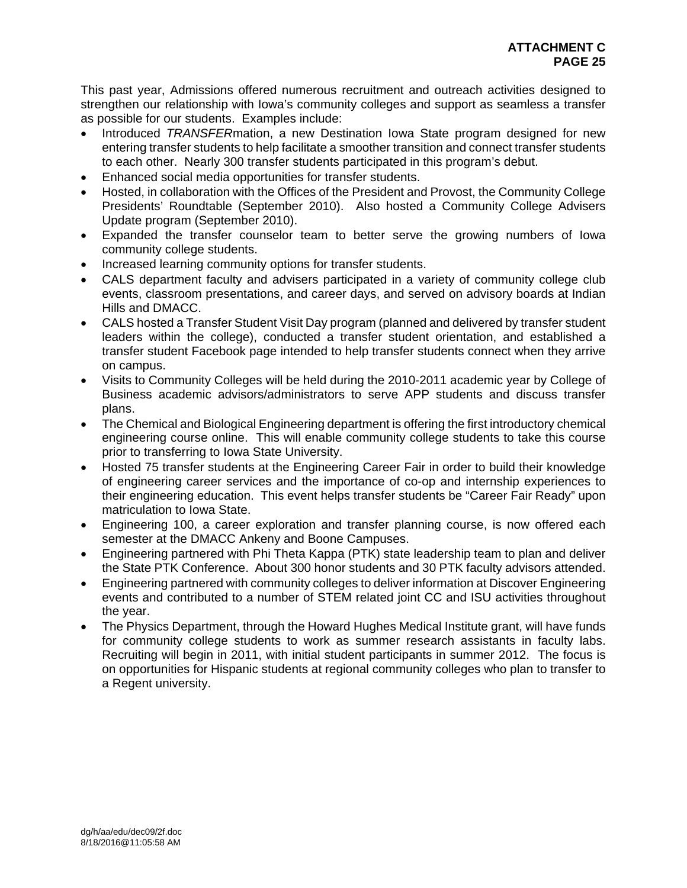This past year, Admissions offered numerous recruitment and outreach activities designed to strengthen our relationship with Iowa's community colleges and support as seamless a transfer as possible for our students. Examples include:

- Introduced *TRANSFER*mation, a new Destination Iowa State program designed for new entering transfer students to help facilitate a smoother transition and connect transfer students to each other. Nearly 300 transfer students participated in this program's debut.
- Enhanced social media opportunities for transfer students.
- Hosted, in collaboration with the Offices of the President and Provost, the Community College Presidents' Roundtable (September 2010). Also hosted a Community College Advisers Update program (September 2010).
- Expanded the transfer counselor team to better serve the growing numbers of Iowa community college students.
- Increased learning community options for transfer students.
- CALS department faculty and advisers participated in a variety of community college club events, classroom presentations, and career days, and served on advisory boards at Indian Hills and DMACC.
- CALS hosted a Transfer Student Visit Day program (planned and delivered by transfer student leaders within the college), conducted a transfer student orientation, and established a transfer student Facebook page intended to help transfer students connect when they arrive on campus.
- Visits to Community Colleges will be held during the 2010-2011 academic year by College of Business academic advisors/administrators to serve APP students and discuss transfer plans.
- The Chemical and Biological Engineering department is offering the first introductory chemical engineering course online. This will enable community college students to take this course prior to transferring to Iowa State University.
- Hosted 75 transfer students at the Engineering Career Fair in order to build their knowledge of engineering career services and the importance of co-op and internship experiences to their engineering education. This event helps transfer students be "Career Fair Ready" upon matriculation to Iowa State.
- Engineering 100, a career exploration and transfer planning course, is now offered each semester at the DMACC Ankeny and Boone Campuses.
- Engineering partnered with Phi Theta Kappa (PTK) state leadership team to plan and deliver the State PTK Conference. About 300 honor students and 30 PTK faculty advisors attended.
- Engineering partnered with community colleges to deliver information at Discover Engineering events and contributed to a number of STEM related joint CC and ISU activities throughout the year.
- The Physics Department, through the Howard Hughes Medical Institute grant, will have funds for community college students to work as summer research assistants in faculty labs. Recruiting will begin in 2011, with initial student participants in summer 2012. The focus is on opportunities for Hispanic students at regional community colleges who plan to transfer to a Regent university.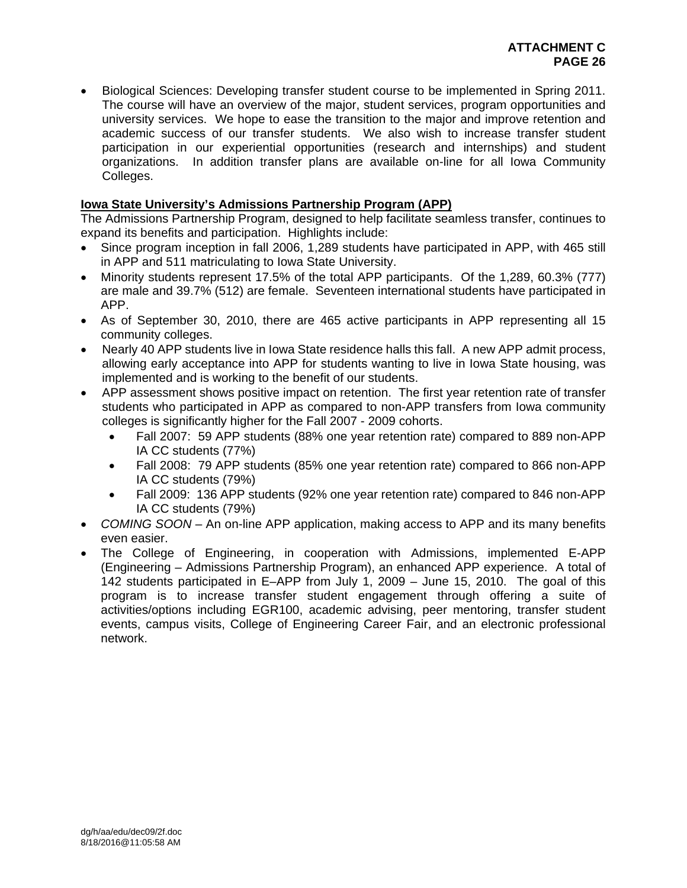Biological Sciences: Developing transfer student course to be implemented in Spring 2011. The course will have an overview of the major, student services, program opportunities and university services. We hope to ease the transition to the major and improve retention and academic success of our transfer students. We also wish to increase transfer student participation in our experiential opportunities (research and internships) and student organizations. In addition transfer plans are available on-line for all Iowa Community Colleges.

## **Iowa State University's Admissions Partnership Program (APP)**

The Admissions Partnership Program, designed to help facilitate seamless transfer, continues to expand its benefits and participation. Highlights include:

- Since program inception in fall 2006, 1,289 students have participated in APP, with 465 still in APP and 511 matriculating to Iowa State University.
- Minority students represent 17.5% of the total APP participants. Of the 1,289, 60.3% (777) are male and 39.7% (512) are female. Seventeen international students have participated in APP.
- As of September 30, 2010, there are 465 active participants in APP representing all 15 community colleges.
- Nearly 40 APP students live in Iowa State residence halls this fall. A new APP admit process, allowing early acceptance into APP for students wanting to live in Iowa State housing, was implemented and is working to the benefit of our students.
- APP assessment shows positive impact on retention. The first year retention rate of transfer students who participated in APP as compared to non-APP transfers from Iowa community colleges is significantly higher for the Fall 2007 - 2009 cohorts.
	- Fall 2007: 59 APP students (88% one year retention rate) compared to 889 non-APP IA CC students (77%)
	- Fall 2008: 79 APP students (85% one year retention rate) compared to 866 non-APP IA CC students (79%)
	- Fall 2009: 136 APP students (92% one year retention rate) compared to 846 non-APP IA CC students (79%)
- *COMING SOON* An on-line APP application, making access to APP and its many benefits even easier.
- The College of Engineering, in cooperation with Admissions, implemented E-APP (Engineering – Admissions Partnership Program), an enhanced APP experience. A total of 142 students participated in E–APP from July 1, 2009 – June 15, 2010. The goal of this program is to increase transfer student engagement through offering a suite of activities/options including EGR100, academic advising, peer mentoring, transfer student events, campus visits, College of Engineering Career Fair, and an electronic professional network.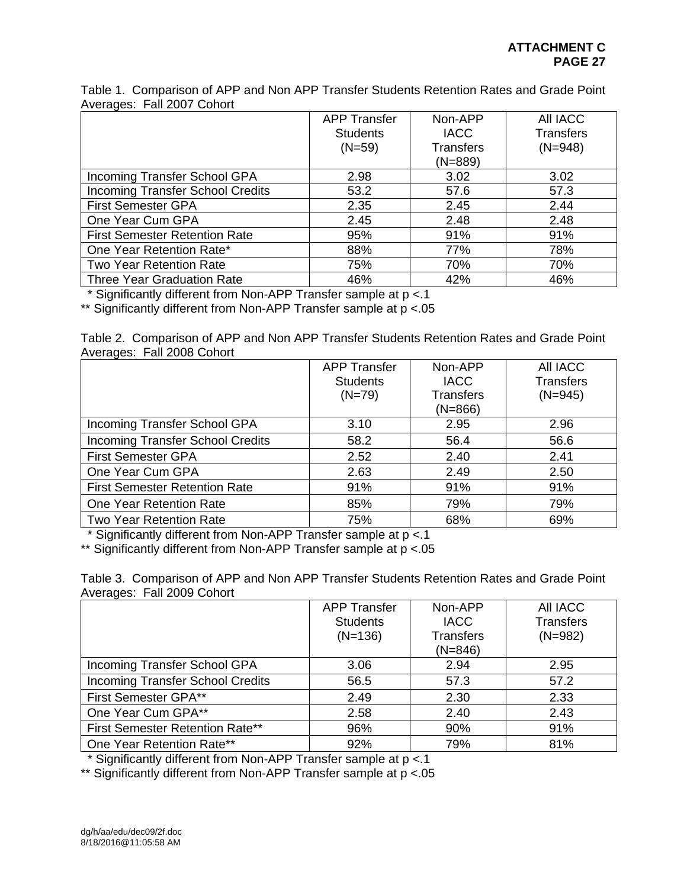Table 1. Comparison of APP and Non APP Transfer Students Retention Rates and Grade Point Averages: Fall 2007 Cohort

|                                         | <b>APP Transfer</b> | Non-APP          | All IACC         |
|-----------------------------------------|---------------------|------------------|------------------|
|                                         | <b>Students</b>     | <b>IACC</b>      | <b>Transfers</b> |
|                                         | $(N=59)$            | <b>Transfers</b> | $(N=948)$        |
|                                         |                     | $(N=889)$        |                  |
| Incoming Transfer School GPA            | 2.98                | 3.02             | 3.02             |
| <b>Incoming Transfer School Credits</b> | 53.2                | 57.6             | 57.3             |
| <b>First Semester GPA</b>               | 2.35                | 2.45             | 2.44             |
| One Year Cum GPA                        | 2.45                | 2.48             | 2.48             |
| <b>First Semester Retention Rate</b>    | 95%                 | 91%              | 91%              |
| One Year Retention Rate*                | 88%                 | 77%              | 78%              |
| <b>Two Year Retention Rate</b>          | 75%                 | 70%              | 70%              |
| <b>Three Year Graduation Rate</b>       | 46%                 | 42%              | 46%              |

\* Significantly different from Non-APP Transfer sample at p <.1

\*\* Significantly different from Non-APP Transfer sample at  $p < 05$ 

Table 2. Comparison of APP and Non APP Transfer Students Retention Rates and Grade Point Averages: Fall 2008 Cohort

|                                         | <b>APP Transfer</b> | Non-APP          | All IACC         |
|-----------------------------------------|---------------------|------------------|------------------|
|                                         | <b>Students</b>     | <b>IACC</b>      | <b>Transfers</b> |
|                                         | $(N=79)$            | <b>Transfers</b> | $(N=945)$        |
|                                         |                     | $(N=866)$        |                  |
| Incoming Transfer School GPA            | 3.10                | 2.95             | 2.96             |
| <b>Incoming Transfer School Credits</b> | 58.2                | 56.4             | 56.6             |
| <b>First Semester GPA</b>               | 2.52                | 2.40             | 2.41             |
| One Year Cum GPA                        | 2.63                | 2.49             | 2.50             |
| <b>First Semester Retention Rate</b>    | 91%                 | 91%              | 91%              |
| One Year Retention Rate                 | 85%                 | 79%              | 79%              |
| <b>Two Year Retention Rate</b>          | 75%                 | 68%              | 69%              |

\* Significantly different from Non-APP Transfer sample at p <.1

\*\* Significantly different from Non-APP Transfer sample at p <.05

Table 3. Comparison of APP and Non APP Transfer Students Retention Rates and Grade Point Averages: Fall 2009 Cohort

|                                         | <b>APP Transfer</b> | Non-APP          | <b>AII IACC</b>  |
|-----------------------------------------|---------------------|------------------|------------------|
|                                         | <b>Students</b>     | <b>IACC</b>      | <b>Transfers</b> |
|                                         | $(N=136)$           | <b>Transfers</b> | $(N=982)$        |
|                                         |                     | $(N=846)$        |                  |
| Incoming Transfer School GPA            | 3.06                | 2.94             | 2.95             |
| <b>Incoming Transfer School Credits</b> | 56.5                | 57.3             | 57.2             |
| First Semester GPA**                    | 2.49                | 2.30             | 2.33             |
| One Year Cum GPA**                      | 2.58                | 2.40             | 2.43             |
| First Semester Retention Rate**         | 96%                 | 90%              | 91%              |
| One Year Retention Rate**               | 92%                 | 79%              | 81%              |

\* Significantly different from Non-APP Transfer sample at p <.1

\*\* Significantly different from Non-APP Transfer sample at  $p < 05$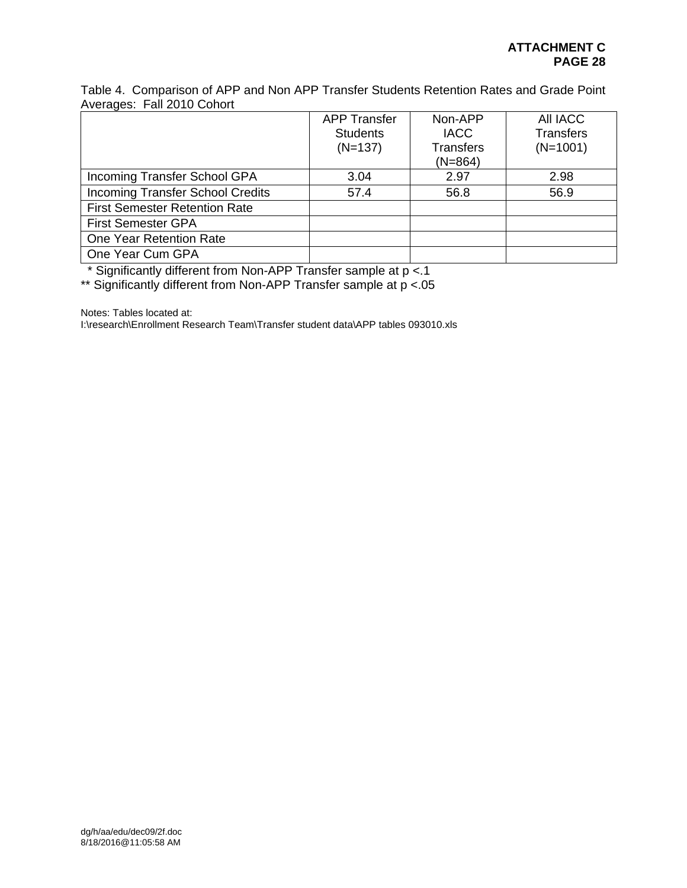Table 4. Comparison of APP and Non APP Transfer Students Retention Rates and Grade Point Averages: Fall 2010 Cohort

|                                         | <b>APP Transfer</b> | Non-APP          | All IACC         |
|-----------------------------------------|---------------------|------------------|------------------|
|                                         | <b>Students</b>     | <b>IACC</b>      | <b>Transfers</b> |
|                                         | $(N=137)$           | <b>Transfers</b> | $(N=1001)$       |
|                                         |                     | $(N=864)$        |                  |
| Incoming Transfer School GPA            | 3.04                | 2.97             | 2.98             |
| <b>Incoming Transfer School Credits</b> | 57.4                | 56.8             | 56.9             |
| <b>First Semester Retention Rate</b>    |                     |                  |                  |
| <b>First Semester GPA</b>               |                     |                  |                  |
| One Year Retention Rate                 |                     |                  |                  |
| One Year Cum GPA                        |                     |                  |                  |

\* Significantly different from Non-APP Transfer sample at p <.1

\*\* Significantly different from Non-APP Transfer sample at p <.05

Notes: Tables located at:

I:\research\Enrollment Research Team\Transfer student data\APP tables 093010.xls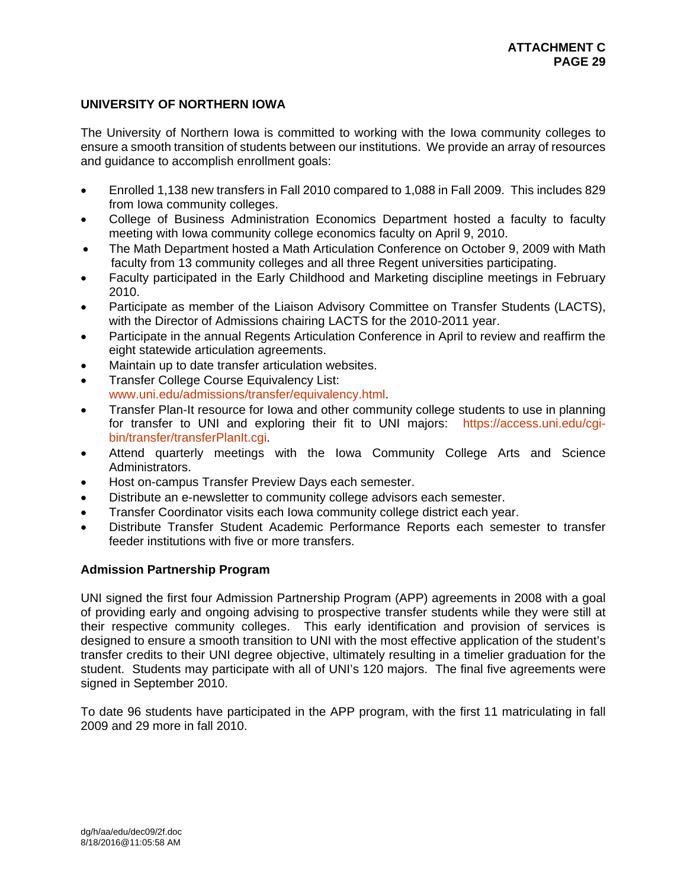## **UNIVERSITY OF NORTHERN IOWA**

The University of Northern Iowa is committed to working with the Iowa community colleges to ensure a smooth transition of students between our institutions. We provide an array of resources and guidance to accomplish enrollment goals:

- Enrolled 1,138 new transfers in Fall 2010 compared to 1,088 in Fall 2009. This includes 829 from Iowa community colleges.
- College of Business Administration Economics Department hosted a faculty to faculty meeting with Iowa community college economics faculty on April 9, 2010.
- The Math Department hosted a Math Articulation Conference on October 9, 2009 with Math faculty from 13 community colleges and all three Regent universities participating.
- Faculty participated in the Early Childhood and Marketing discipline meetings in February 2010.
- Participate as member of the Liaison Advisory Committee on Transfer Students (LACTS), with the Director of Admissions chairing LACTS for the 2010-2011 year.
- Participate in the annual Regents Articulation Conference in April to review and reaffirm the eight statewide articulation agreements.
- Maintain up to date transfer articulation websites.
- **Transfer College Course Equivalency List:** www.uni.edu/admissions/transfer/equivalency.html.
- Transfer Plan-It resource for Iowa and other community college students to use in planning for transfer to UNI and exploring their fit to UNI majors: https://access.uni.edu/cgibin/transfer/transferPlanIt.cgi
- Attend quarterly meetings with the Iowa Community College Arts and Science Administrators.
- Host on-campus Transfer Preview Days each semester.
- Distribute an e-newsletter to community college advisors each semester.
- Transfer Coordinator visits each Iowa community college district each year.
- Distribute Transfer Student Academic Performance Reports each semester to transfer feeder institutions with five or more transfers.

#### **Admission Partnership Program**

UNI signed the first four Admission Partnership Program (APP) agreements in 2008 with a goal of providing early and ongoing advising to prospective transfer students while they were still at their respective community colleges. This early identification and provision of services is designed to ensure a smooth transition to UNI with the most effective application of the student's transfer credits to their UNI degree objective, ultimately resulting in a timelier graduation for the student. Students may participate with all of UNI's 120 majors. The final five agreements were signed in September 2010.

To date 96 students have participated in the APP program, with the first 11 matriculating in fall 2009 and 29 more in fall 2010.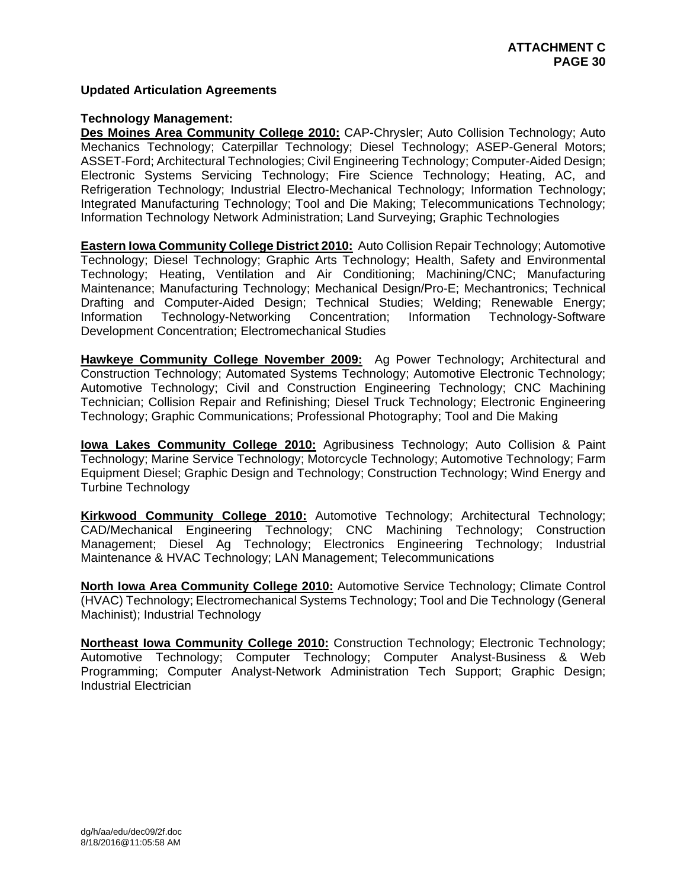### **Updated Articulation Agreements**

#### **Technology Management:**

**Des Moines Area Community College 2010:** CAP-Chrysler; Auto Collision Technology; Auto Mechanics Technology; Caterpillar Technology; Diesel Technology; ASEP-General Motors; ASSET-Ford; Architectural Technologies; Civil Engineering Technology; Computer-Aided Design; Electronic Systems Servicing Technology; Fire Science Technology; Heating, AC, and Refrigeration Technology; Industrial Electro-Mechanical Technology; Information Technology; Integrated Manufacturing Technology; Tool and Die Making; Telecommunications Technology; Information Technology Network Administration; Land Surveying; Graphic Technologies

**Eastern Iowa Community College District 2010:** Auto Collision Repair Technology; Automotive Technology; Diesel Technology; Graphic Arts Technology; Health, Safety and Environmental Technology; Heating, Ventilation and Air Conditioning; Machining/CNC; Manufacturing Maintenance; Manufacturing Technology; Mechanical Design/Pro-E; Mechantronics; Technical Drafting and Computer-Aided Design; Technical Studies; Welding; Renewable Energy; Information Technology-Networking Concentration; Information Technology-Software Development Concentration; Electromechanical Studies

**Hawkeye Community College November 2009:** Ag Power Technology; Architectural and Construction Technology; Automated Systems Technology; Automotive Electronic Technology; Automotive Technology; Civil and Construction Engineering Technology; CNC Machining Technician; Collision Repair and Refinishing; Diesel Truck Technology; Electronic Engineering Technology; Graphic Communications; Professional Photography; Tool and Die Making

**Iowa Lakes Community College 2010:** Agribusiness Technology; Auto Collision & Paint Technology; Marine Service Technology; Motorcycle Technology; Automotive Technology; Farm Equipment Diesel; Graphic Design and Technology; Construction Technology; Wind Energy and Turbine Technology

**Kirkwood Community College 2010:** Automotive Technology; Architectural Technology; CAD/Mechanical Engineering Technology; CNC Machining Technology; Construction Management; Diesel Ag Technology; Electronics Engineering Technology; Industrial Maintenance & HVAC Technology; LAN Management; Telecommunications

**North Iowa Area Community College 2010:** Automotive Service Technology; Climate Control (HVAC) Technology; Electromechanical Systems Technology; Tool and Die Technology (General Machinist); Industrial Technology

**Northeast Iowa Community College 2010:** Construction Technology; Electronic Technology; Automotive Technology; Computer Technology; Computer Analyst-Business & Web Programming; Computer Analyst-Network Administration Tech Support; Graphic Design; Industrial Electrician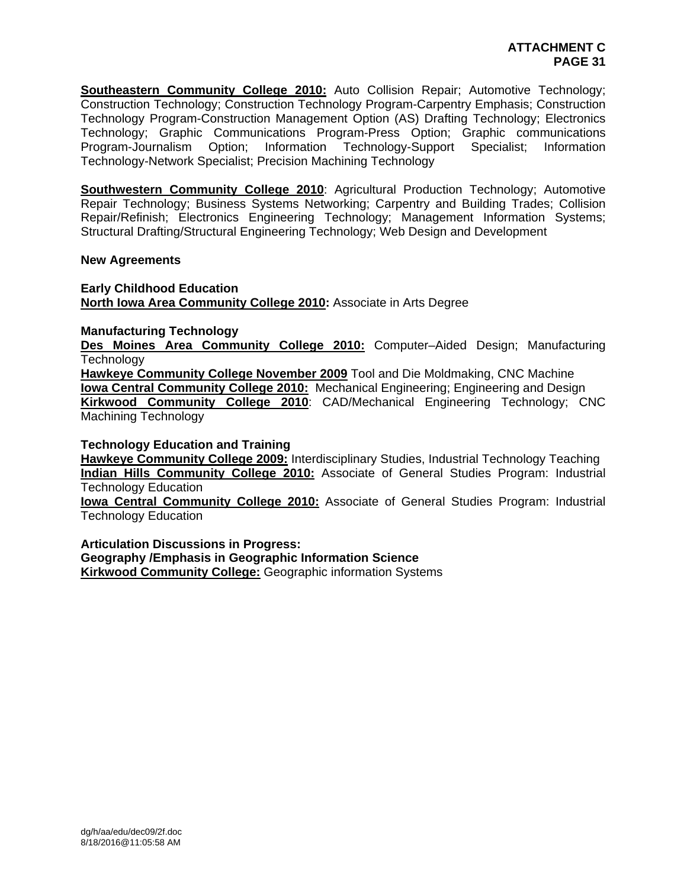**Southeastern Community College 2010:** Auto Collision Repair; Automotive Technology; Construction Technology; Construction Technology Program-Carpentry Emphasis; Construction Technology Program-Construction Management Option (AS) Drafting Technology; Electronics Technology; Graphic Communications Program-Press Option; Graphic communications Program-Journalism Option; Information Technology-Support Specialist; Information Technology-Network Specialist; Precision Machining Technology

**Southwestern Community College 2010**: Agricultural Production Technology; Automotive Repair Technology; Business Systems Networking; Carpentry and Building Trades; Collision Repair/Refinish; Electronics Engineering Technology; Management Information Systems; Structural Drafting/Structural Engineering Technology; Web Design and Development

#### **New Agreements**

**Early Childhood Education North Iowa Area Community College 2010:** Associate in Arts Degree

#### **Manufacturing Technology**

**Des Moines Area Community College 2010:** Computer–Aided Design; Manufacturing **Technology** 

**Hawkeye Community College November 2009** Tool and Die Moldmaking, CNC Machine **Iowa Central Community College 2010:** Mechanical Engineering; Engineering and Design **Kirkwood Community College 2010**: CAD/Mechanical Engineering Technology; CNC Machining Technology

#### **Technology Education and Training**

**Hawkeye Community College 2009:** Interdisciplinary Studies, Industrial Technology Teaching **Indian Hills Community College 2010:** Associate of General Studies Program: Industrial Technology Education

**Iowa Central Community College 2010:** Associate of General Studies Program: Industrial Technology Education

**Articulation Discussions in Progress: Geography /Emphasis in Geographic Information Science Kirkwood Community College:** Geographic information Systems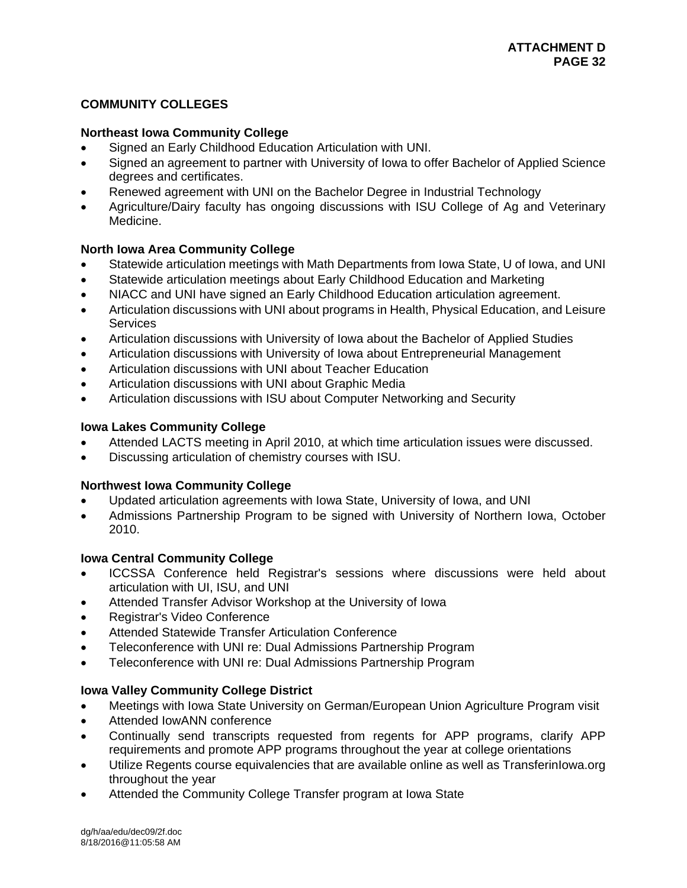# **COMMUNITY COLLEGES**

## **Northeast Iowa Community College**

- Signed an Early Childhood Education Articulation with UNI.
- Signed an agreement to partner with University of Iowa to offer Bachelor of Applied Science degrees and certificates.
- Renewed agreement with UNI on the Bachelor Degree in Industrial Technology
- Agriculture/Dairy faculty has ongoing discussions with ISU College of Ag and Veterinary Medicine.

## **North Iowa Area Community College**

- Statewide articulation meetings with Math Departments from Iowa State, U of Iowa, and UNI
- Statewide articulation meetings about Early Childhood Education and Marketing
- NIACC and UNI have signed an Early Childhood Education articulation agreement.
- Articulation discussions with UNI about programs in Health, Physical Education, and Leisure **Services**
- Articulation discussions with University of Iowa about the Bachelor of Applied Studies
- Articulation discussions with University of Iowa about Entrepreneurial Management
- Articulation discussions with UNI about Teacher Education
- Articulation discussions with UNI about Graphic Media
- Articulation discussions with ISU about Computer Networking and Security

### **Iowa Lakes Community College**

- Attended LACTS meeting in April 2010, at which time articulation issues were discussed.
- Discussing articulation of chemistry courses with ISU.

## **Northwest Iowa Community College**

- Updated articulation agreements with Iowa State, University of Iowa, and UNI
- Admissions Partnership Program to be signed with University of Northern Iowa, October 2010.

## **Iowa Central Community College**

- ICCSSA Conference held Registrar's sessions where discussions were held about articulation with UI, ISU, and UNI
- Attended Transfer Advisor Workshop at the University of Iowa
- Registrar's Video Conference
- Attended Statewide Transfer Articulation Conference
- Teleconference with UNI re: Dual Admissions Partnership Program
- Teleconference with UNI re: Dual Admissions Partnership Program

## **Iowa Valley Community College District**

- Meetings with Iowa State University on German/European Union Agriculture Program visit
- Attended IowANN conference
- Continually send transcripts requested from regents for APP programs, clarify APP requirements and promote APP programs throughout the year at college orientations
- Utilize Regents course equivalencies that are available online as well as TransferinIowa.org throughout the year
- Attended the Community College Transfer program at Iowa State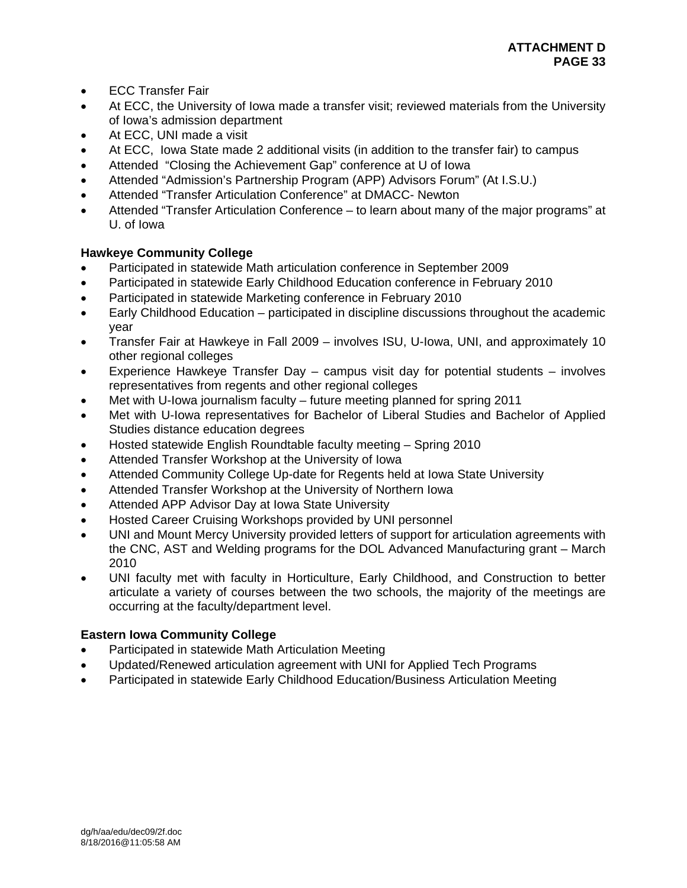- ECC Transfer Fair
- At ECC, the University of Iowa made a transfer visit; reviewed materials from the University of Iowa's admission department
- At ECC, UNI made a visit
- At ECC, Iowa State made 2 additional visits (in addition to the transfer fair) to campus
- Attended "Closing the Achievement Gap" conference at U of Iowa
- Attended "Admission's Partnership Program (APP) Advisors Forum" (At I.S.U.)
- Attended "Transfer Articulation Conference" at DMACC- Newton
- Attended "Transfer Articulation Conference to learn about many of the major programs" at U. of Iowa

# **Hawkeye Community College**

- Participated in statewide Math articulation conference in September 2009
- Participated in statewide Early Childhood Education conference in February 2010
- Participated in statewide Marketing conference in February 2010
- Early Childhood Education participated in discipline discussions throughout the academic year
- Transfer Fair at Hawkeye in Fall 2009 involves ISU, U-Iowa, UNI, and approximately 10 other regional colleges
- Experience Hawkeye Transfer Day campus visit day for potential students involves representatives from regents and other regional colleges
- Met with U-Iowa journalism faculty future meeting planned for spring 2011
- Met with U-Iowa representatives for Bachelor of Liberal Studies and Bachelor of Applied Studies distance education degrees
- Hosted statewide English Roundtable faculty meeting Spring 2010
- Attended Transfer Workshop at the University of Iowa
- Attended Community College Up-date for Regents held at Iowa State University
- Attended Transfer Workshop at the University of Northern Iowa
- Attended APP Advisor Day at Iowa State University
- Hosted Career Cruising Workshops provided by UNI personnel
- UNI and Mount Mercy University provided letters of support for articulation agreements with the CNC, AST and Welding programs for the DOL Advanced Manufacturing grant – March 2010
- UNI faculty met with faculty in Horticulture, Early Childhood, and Construction to better articulate a variety of courses between the two schools, the majority of the meetings are occurring at the faculty/department level.

## **Eastern Iowa Community College**

- Participated in statewide Math Articulation Meeting
- Updated/Renewed articulation agreement with UNI for Applied Tech Programs
- Participated in statewide Early Childhood Education/Business Articulation Meeting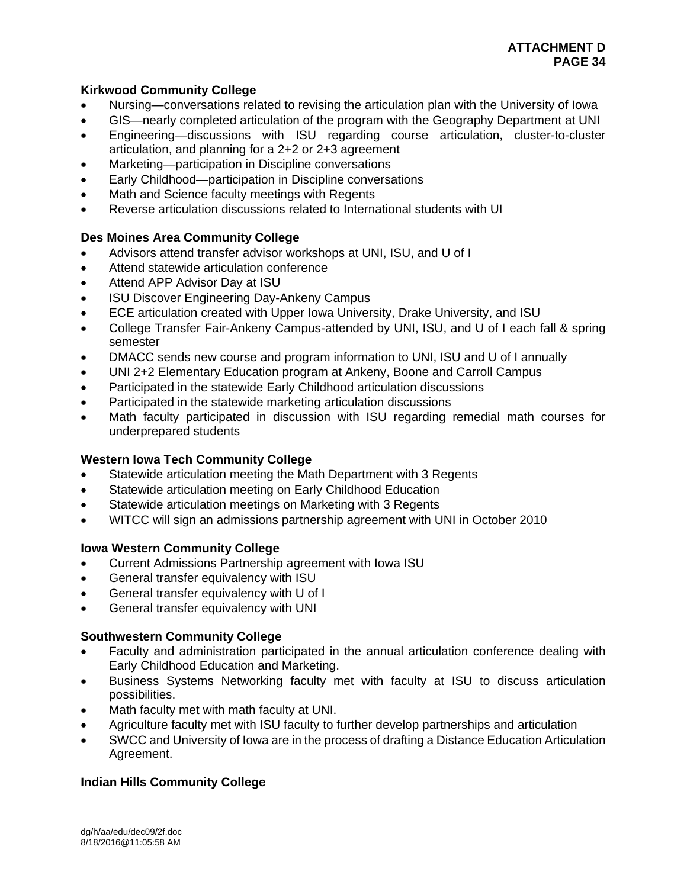## **Kirkwood Community College**

- Nursing—conversations related to revising the articulation plan with the University of Iowa
- GIS—nearly completed articulation of the program with the Geography Department at UNI
- Engineering—discussions with ISU regarding course articulation, cluster-to-cluster articulation, and planning for a 2+2 or 2+3 agreement
- Marketing—participation in Discipline conversations
- Early Childhood—participation in Discipline conversations
- Math and Science faculty meetings with Regents
- Reverse articulation discussions related to International students with UI

### **Des Moines Area Community College**

- Advisors attend transfer advisor workshops at UNI, ISU, and U of I
- Attend statewide articulation conference
- Attend APP Advisor Day at ISU
- ISU Discover Engineering Day-Ankeny Campus
- ECE articulation created with Upper Iowa University, Drake University, and ISU
- College Transfer Fair-Ankeny Campus-attended by UNI, ISU, and U of I each fall & spring semester
- DMACC sends new course and program information to UNI, ISU and U of I annually
- UNI 2+2 Elementary Education program at Ankeny, Boone and Carroll Campus
- Participated in the statewide Early Childhood articulation discussions
- Participated in the statewide marketing articulation discussions
- Math faculty participated in discussion with ISU regarding remedial math courses for underprepared students

#### **Western Iowa Tech Community College**

- Statewide articulation meeting the Math Department with 3 Regents
- Statewide articulation meeting on Early Childhood Education
- Statewide articulation meetings on Marketing with 3 Regents
- WITCC will sign an admissions partnership agreement with UNI in October 2010

#### **Iowa Western Community College**

- Current Admissions Partnership agreement with Iowa ISU
- General transfer equivalency with ISU
- General transfer equivalency with U of I
- General transfer equivalency with UNI

#### **Southwestern Community College**

- Faculty and administration participated in the annual articulation conference dealing with Early Childhood Education and Marketing.
- Business Systems Networking faculty met with faculty at ISU to discuss articulation possibilities.
- Math faculty met with math faculty at UNI.
- Agriculture faculty met with ISU faculty to further develop partnerships and articulation
- SWCC and University of Iowa are in the process of drafting a Distance Education Articulation Agreement.

## **Indian Hills Community College**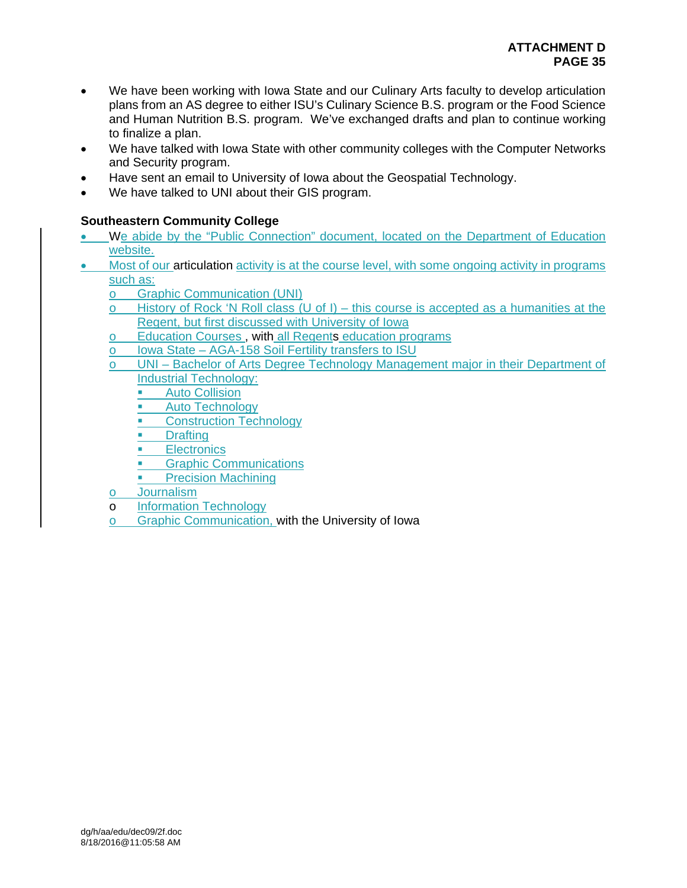- We have been working with Iowa State and our Culinary Arts faculty to develop articulation plans from an AS degree to either ISU's Culinary Science B.S. program or the Food Science and Human Nutrition B.S. program. We've exchanged drafts and plan to continue working to finalize a plan.
- We have talked with Iowa State with other community colleges with the Computer Networks and Security program.
- Have sent an email to University of Iowa about the Geospatial Technology.
- We have talked to UNI about their GIS program.

# **Southeastern Community College**

- We abide by the "Public Connection" document, located on the Department of Education website.
- Most of our articulation activity is at the course level, with some ongoing activity in programs  $\frac{\text{such as:}}{\text{o}}$ 
	- **Graphic Communication (UNI)**
	- o History of Rock 'N Roll class (U of I) this course is accepted as a humanities at the Regent, but first discussed with University of Iowa
	- o Education Courses , with all Regents education programs
	- o Iowa State AGA-158 Soil Fertility transfers to ISU
	- UNI Bachelor of Arts Degree Technology Management major in their Department of Industrial Technology:
		- **Auto Collision**
		- **Auto Technology**
		- Construction Technology
		- **Drafting**
		- **Electronics**
		- **Graphic Communications**
		- Precision Machining
	- o Journalism
	- o Information Technology
	- o Graphic Communication, with the University of Iowa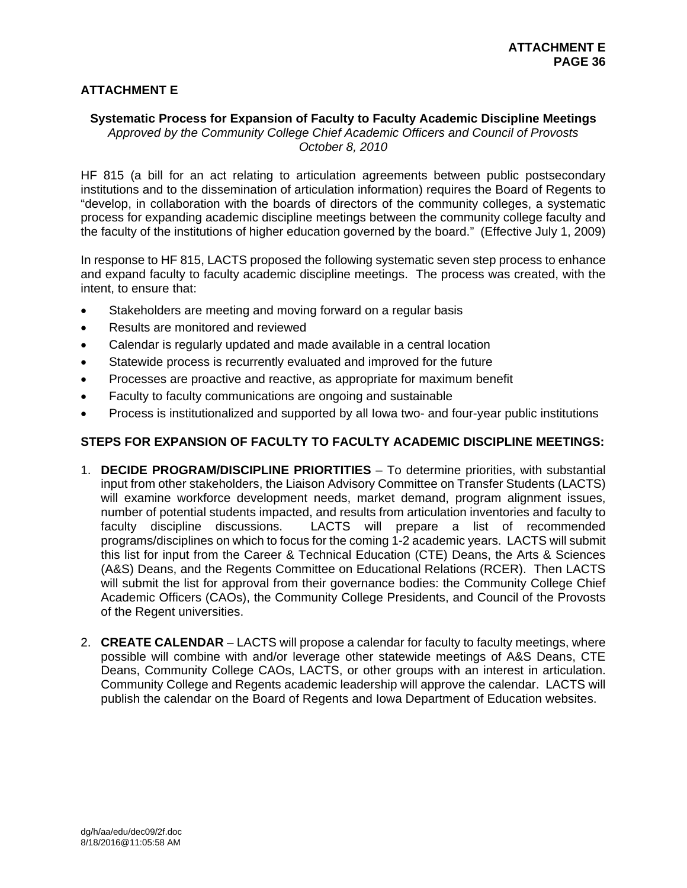# **ATTACHMENT E**

## **Systematic Process for Expansion of Faculty to Faculty Academic Discipline Meetings**

*Approved by the Community College Chief Academic Officers and Council of Provosts October 8, 2010* 

HF 815 (a bill for an act relating to articulation agreements between public postsecondary institutions and to the dissemination of articulation information) requires the Board of Regents to "develop, in collaboration with the boards of directors of the community colleges, a systematic process for expanding academic discipline meetings between the community college faculty and the faculty of the institutions of higher education governed by the board." (Effective July 1, 2009)

In response to HF 815, LACTS proposed the following systematic seven step process to enhance and expand faculty to faculty academic discipline meetings. The process was created, with the intent, to ensure that:

- Stakeholders are meeting and moving forward on a regular basis
- Results are monitored and reviewed
- Calendar is regularly updated and made available in a central location
- Statewide process is recurrently evaluated and improved for the future
- Processes are proactive and reactive, as appropriate for maximum benefit
- Faculty to faculty communications are ongoing and sustainable
- Process is institutionalized and supported by all Iowa two- and four-year public institutions

## **STEPS FOR EXPANSION OF FACULTY TO FACULTY ACADEMIC DISCIPLINE MEETINGS:**

- 1. **DECIDE PROGRAM/DISCIPLINE PRIORTITIES** To determine priorities, with substantial input from other stakeholders, the Liaison Advisory Committee on Transfer Students (LACTS) will examine workforce development needs, market demand, program alignment issues, number of potential students impacted, and results from articulation inventories and faculty to faculty discipline discussions. LACTS will prepare a list of recommended programs/disciplines on which to focus for the coming 1-2 academic years. LACTS will submit this list for input from the Career & Technical Education (CTE) Deans, the Arts & Sciences (A&S) Deans, and the Regents Committee on Educational Relations (RCER). Then LACTS will submit the list for approval from their governance bodies: the Community College Chief Academic Officers (CAOs), the Community College Presidents, and Council of the Provosts of the Regent universities.
- 2. **CREATE CALENDAR** LACTS will propose a calendar for faculty to faculty meetings, where possible will combine with and/or leverage other statewide meetings of A&S Deans, CTE Deans, Community College CAOs, LACTS, or other groups with an interest in articulation. Community College and Regents academic leadership will approve the calendar. LACTS will publish the calendar on the Board of Regents and Iowa Department of Education websites.